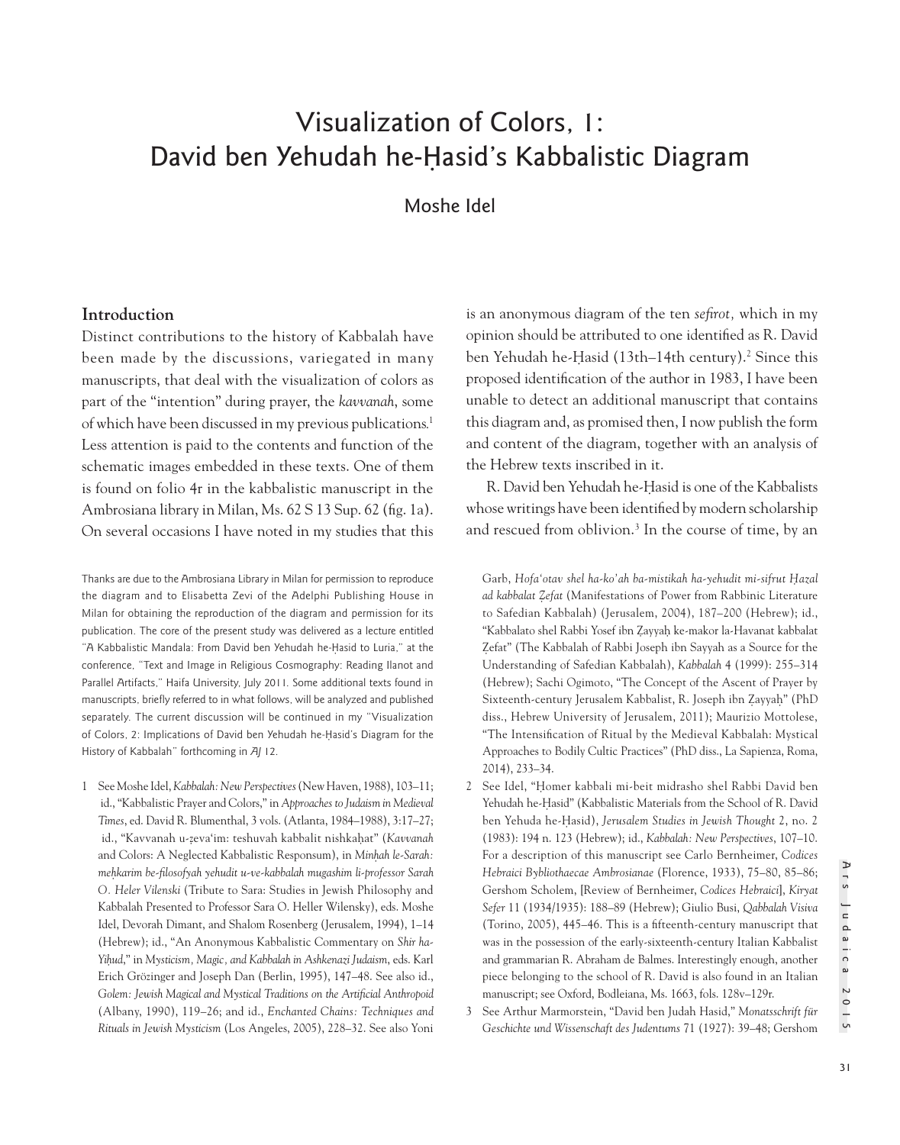# Visualization of Colors, 1: David ben Yehudah he-Ḥasid's Kabbalistic Diagram

Moshe Idel

## **Introduction**

Distinct contributions to the history of Kabbalah have been made by the discussions, variegated in many manuscripts, that deal with the visualization of colors as part of the "intention" during prayer, the *kavvanah*, some of which have been discussed in my previous publications. 1 Less attention is paid to the contents and function of the schematic images embedded in these texts. One of them is found on folio 4r in the kabbalistic manuscript in the Ambrosiana library in Milan, Ms. 62 S 13 Sup. 62 (fig. 1a). On several occasions I have noted in my studies that this

Thanks are due to the Ambrosiana Library in Milan for permission to reproduce the diagram and to Elisabetta Zevi of the Adelphi Publishing House in Milan for obtaining the reproduction of the diagram and permission for its publication. The core of the present study was delivered as a lecture entitled "A Kabbalistic Mandala: From David ben Yehudah he-Hasid to Luria," at the conference, "Text and Image in Religious Cosmography: Reading Ilanot and Parallel Artifacts," Haifa University, July 2011. Some additional texts found in manuscripts, briefly referred to in what follows, will be analyzed and published separately. The current discussion will be continued in my "Visualization of Colors, 2: Implications of David ben Yehudah he-Hasid's Diagram for the History of Kabbalah" forthcoming in *AJ* 12.

1 See Moshe Idel, *Kabbalah: New Perspectives* (New Haven, 1988), 103–11; id., "Kabbalistic Prayer and Colors," in *Approaches to Judaism in Medieval Times*, ed. David R. Blumenthal, 3 vols. (Atlanta, 1984–1988), 3:17–27; id., "Kavvanah u-ẓeva'im: teshuvah kabbalit nishkaḥat" (*Kavvanah*  and Colors: A Neglected Kabbalistic Responsum), in *Minhah le-Sarah: meh*̣*karim be-filosofyah yehudit u-ve-kabbalah mugashim li-professor Sarah O. Heler Vilenski* (Tribute to Sara: Studies in Jewish Philosophy and Kabbalah Presented to Professor Sara O. Heller Wilensky), eds. Moshe Idel, Devorah Dimant, and Shalom Rosenberg (Jerusalem, 1994), 1–14 (Hebrew); id., "An Anonymous Kabbalistic Commentary on *Shir ha-Yih*̣*ud*," in *Mysticism, Magic, and Kabbalah in Ashkenazi Judaism*, eds. Karl Erich Grözinger and Joseph Dan (Berlin, 1995), 147–48. See also id., *Golem: Jewish Magical and Mystical Traditions on the Artificial Anthropoid* (Albany, 1990), 119–26; and id., *Enchanted Chains: Techniques and Rituals in Jewish Mysticism* (Los Angeles, 2005), 228–32. See also Yoni is an anonymous diagram of the ten *sefirot,* which in my opinion should be attributed to one identified as R. David ben Yehudah he-Ḥasid (13th–14th century).2 Since this proposed identification of the author in 1983, I have been unable to detect an additional manuscript that contains this diagram and, as promised then, I now publish the form and content of the diagram, together with an analysis of the Hebrew texts inscribed in it.

R. David ben Yehudah he-Hasid is one of the Kabbalists whose writings have been identified by modern scholarship and rescued from oblivion.<sup>3</sup> In the course of time, by an

Garb, *Hofa'otav shel ha-ko'ah ba-mistikah ha-yehudit mi-sifrut Hazal ad kabbalat Z*̣*efat* (Manifestations of Power from Rabbinic Literature to Safedian Kabbalah) (Jerusalem, 2004), 187–200 (Hebrew); id., "Kabbalato shel Rabbi Yosef ibn Zayyah ke-makor la-Havanat kabbalat Zefat" (The Kabbalah of Rabbi Joseph ibn Sayyah as a Source for the Understanding of Safedian Kabbalah), *Kabbalah* 4 (1999): 255–314 (Hebrew); Sachi Ogimoto, "The Concept of the Ascent of Prayer by Sixteenth-century Jerusalem Kabbalist, R. Joseph ibn Zayyah" (PhD diss., Hebrew University of Jerusalem, 2011); Maurizio Mottolese, "The Intensification of Ritual by the Medieval Kabbalah: Mystical Approaches to Bodily Cultic Practices" (PhD diss., La Sapienza, Roma, 2014), 233–34.

- 2 See Idel, "Homer kabbali mi-beit midrasho shel Rabbi David ben Yehudah he-Hasid" (Kabbalistic Materials from the School of R. David ben Yehuda he-Ḥ asid), *Jerusalem Studies in Jewish Thought* 2, no. 2 (1983): 194 n. 123 (Hebrew); id., *Kabbalah: New Perspectives*, 107–10. For a description of this manuscript see Carlo Bernheimer, *Codices Hebraici Bybliothaecae Ambrosianae* (Florence, 1933), 75–80, 85–86; Gershom Scholem, [Review of Bernheimer, *Codices Hebraici*], *Kiryat Sefer* 11 (1934/1935): 188–89 (Hebrew); Giulio Busi, *Qabbalah Visiva* (Torino, 2005), 445–46. This is a fifteenth-century manuscript that was in the possession of the early-sixteenth-century Italian Kabbalist and grammarian R. Abraham de Balmes. Interestingly enough, another piece belonging to the school of R. David is also found in an Italian manuscript; see Oxford, Bodleiana, Ms. 1663, fols. 128v–129r.
- 3 See Arthur Marmorstein, "David ben Judah Hasid," *Monatsschrift für Geschichte und Wissenschaft des Judentums* 71 (1927): 39–48; Gershom

Ars Judaica 2015

Ars Judaica 2015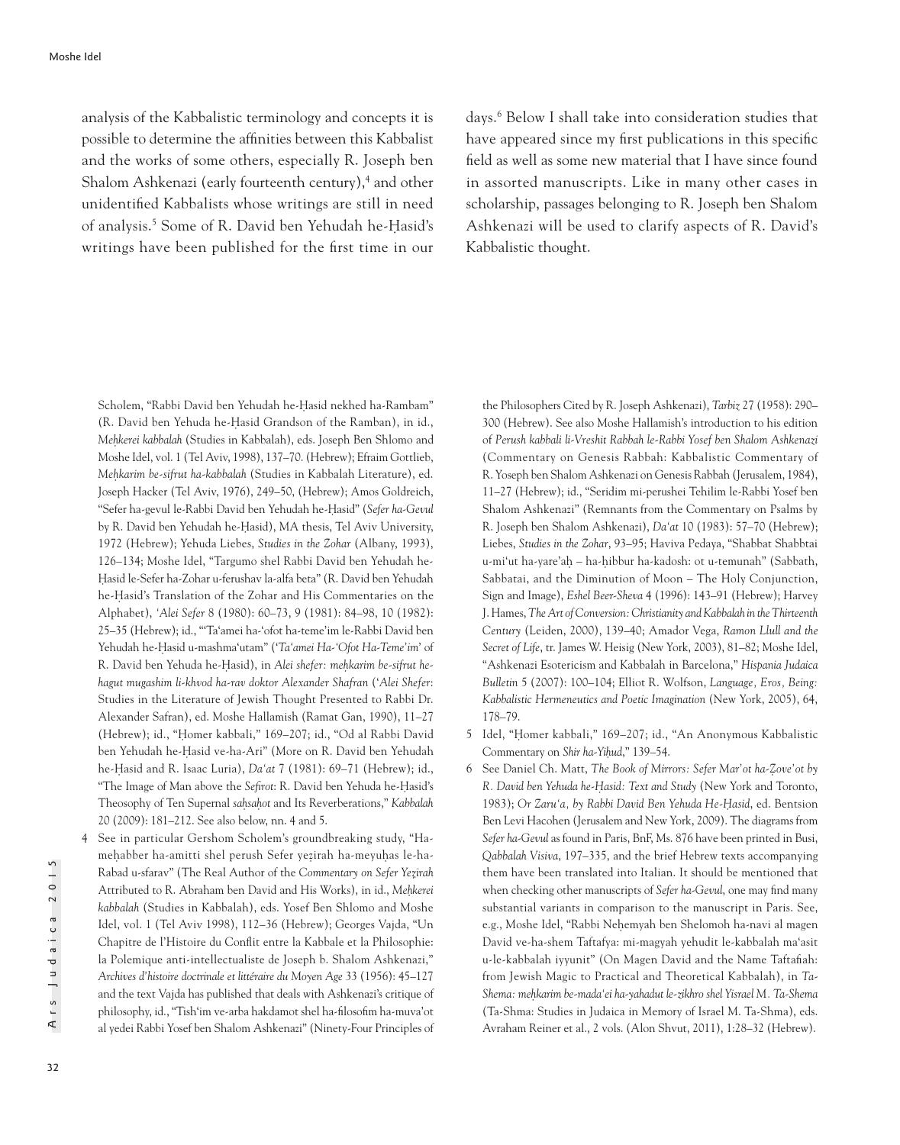analysis of the Kabbalistic terminology and concepts it is possible to determine the affinities between this Kabbalist and the works of some others, especially R. Joseph ben Shalom Ashkenazi (early fourteenth century),<sup>4</sup> and other unidentified Kabbalists whose writings are still in need of analysis.5 Some of R. David ben Yehudah he-Ḥasid's writings have been published for the first time in our

days.6 Below I shall take into consideration studies that have appeared since my first publications in this specific field as well as some new material that I have since found in assorted manuscripts. Like in many other cases in scholarship, passages belonging to R. Joseph ben Shalom Ashkenazi will be used to clarify aspects of R. David's Kabbalistic thought.

Scholem, "Rabbi David ben Yehudah he-Hasid nekhed ha-Rambam" (R. David ben Yehuda he-Ḥ asid Grandson of the Ramban), in id., *Meh*̣*kerei kabbalah* (Studies in Kabbalah), eds. Joseph Ben Shlomo and Moshe Idel, vol. 1 (Tel Aviv, 1998), 137–70. (Hebrew); Efraim Gottlieb, *Meh*̣*karim be-sifrut ha-kabbalah* (Studies in Kabbalah Literature), ed. Joseph Hacker (Tel Aviv, 1976), 249–50, (Hebrew); Amos Goldreich, "Sefer ha-gevul le-Rabbi David ben Yehudah he-Ḥasid" (*Sefer ha-Gevul* by R. David ben Yehudah he-Hasid), MA thesis, Tel Aviv University, 1972 (Hebrew); Yehuda Liebes, *Studies in the Zohar* (Albany, 1993), 126–134; Moshe Idel, "Targumo shel Rabbi David ben Yehudah he-Hasid le-Sefer ha-Zohar u-ferushav la-alfa beta" (R. David ben Yehudah he-Hasid's Translation of the Zohar and His Commentaries on the Alphabet), *'Alei Sefer* 8 (1980): 60–73, 9 (1981): 84–98, 10 (1982): 25–35 (Hebrew); id., "'Ta'amei ha-'ofot ha-teme'im le-Rabbi David ben Yehudah he-Ḥasid u-mashma'utam" ('*Ta'amei Ha-'Ofot Ha-Teme'im*' of R. David ben Yehuda he-Ḥasid), in *Alei shefer: meh*̣*karim be-sifrut hehagut mugashim li-khvod ha-rav doktor Alexander Shafran* ('*Alei Shefer*: Studies in the Literature of Jewish Thought Presented to Rabbi Dr. Alexander Safran), ed. Moshe Hallamish (Ramat Gan, 1990), 11–27 (Hebrew); id., "Homer kabbali," 169-207; id., "Od al Rabbi David ben Yehudah he-Ḥasid ve-ha-Ari" (More on R. David ben Yehudah he-Ḥasid and R. Isaac Luria), *Da'at* 7 (1981): 69–71 (Hebrew); id., "The Image of Man above the *Sefirot*: R. David ben Yehuda he-Hasid's Theosophy of Ten Supernal *sah*̣*sah*̣*ot* and Its Reverberations," *Kabbalah* 20 (2009): 181–212. See also below, nn. 4 and 5.

4 See in particular Gershom Scholem's groundbreaking study, "Hamehabber ha-amitti shel perush Sefer yezirah ha-meyuhas le-ha-Rabad u-sfarav" (The Real Author of the *Commentary on Sefer Yez*̣*irah* Attributed to R. Abraham ben David and His Works), in id., *Meh*̣*kerei kabbalah* (Studies in Kabbalah), eds. Yosef Ben Shlomo and Moshe Idel, vol. 1 (Tel Aviv 1998), 112–36 (Hebrew); Georges Vajda, "Un Chapitre de l'Histoire du Conflit entre la Kabbale et la Philosophie: la Polemique anti-intellectualiste de Joseph b. Shalom Ashkenazi," *Archives d'histoire doctrinale et littéraire du Moyen Age* 33 (1956): 45–127 and the text Vajda has published that deals with Ashkenazi's critique of philosophy, id., "Tish'im ve-arba hakdamot shel ha-filosofim ha-muva'ot al yedei Rabbi Yosef ben Shalom Ashkenazi" (Ninety-Four Principles of

the Philosophers Cited by R. Joseph Ashkenazi), *Tarbiz* 27 (1958): 290– 300 (Hebrew). See also Moshe Hallamish's introduction to his edition of *Perush kabbali li-Vreshit Rabbah le-Rabbi Yosef ben Shalom Ashkenazi* (Commentary on Genesis Rabbah: Kabbalistic Commentary of R. Yoseph ben Shalom Ashkenazi on Genesis Rabbah (Jerusalem, 1984), 11–27 (Hebrew); id., "Seridim mi-perushei Tehilim le-Rabbi Yosef ben Shalom Ashkenazi" (Remnants from the Commentary on Psalms by R. Joseph ben Shalom Ashkenazi), *Da'at* 10 (1983): 57–70 (Hebrew); Liebes, *Studies in the Zohar*, 93–95; Haviva Pedaya, "Shabbat Shabbtai u-mi'ut ha-yare'aḥ – ha-ḥibbur ha-kadosh: ot u-temunah" (Sabbath, Sabbatai, and the Diminution of Moon – The Holy Conjunction, Sign and Image), *Eshel Beer-Sheva* 4 (1996): 143–91 (Hebrew); Harvey J. Hames, *The Art of Conversion: Christianity and Kabbalah in the Thirteenth Century* (Leiden, 2000), 139–40; Amador Vega, *Ramon Llull and the Secret of Life*, tr. James W. Heisig (New York, 2003), 81–82; Moshe Idel, "Ashkenazi Esotericism and Kabbalah in Barcelona," *Hispania Judaica Bulletin* 5 (2007): 100–104; Elliot R. Wolfson, *Language, Eros, Being: Kabbalistic Hermeneutics and Poetic Imagination* (New York, 2005), 64, 178–79.

- 5 Idel, "Homer kabbali," 169–207; id., "An Anonymous Kabbalistic Commentary on *Shir ha-Yih*̣*ud*," 139–54.
- 6 See Daniel Ch. Matt, *The Book of Mirrors: Sefer Mar'ot ha-Z*̣*ove'ot by R. David ben Yehuda he-H*̣*asid: Text and Study* (New York and Toronto, 1983); *Or Zaru'a, by Rabbi David Ben Yehuda He-H*̣*asid*, ed. Bentsion Ben Levi Hacohen (Jerusalem and New York, 2009). The diagrams from *Sefer ha-Gevul* as found in Paris, BnF, Ms. 876 have been printed in Busi, *Qabbalah Visiva*, 197–335, and the brief Hebrew texts accompanying them have been translated into Italian. It should be mentioned that when checking other manuscripts of *Sefer ha-Gevul*, one may find many substantial variants in comparison to the manuscript in Paris. See, e.g., Moshe Idel, "Rabbi Nehemyah ben Shelomoh ha-navi al magen David ve-ha-shem Taftafya: mi-magyah yehudit le-kabbalah ma'asit u-le-kabbalah iyyunit" (On Magen David and the Name Taftafiah: from Jewish Magic to Practical and Theoretical Kabbalah), in *Ta-Shema: meh*̣*karim be-mada'ei ha-yahadut le-zikhro shel Yisrael M. Ta-Shema* (Ta-Shma: Studies in Judaica in Memory of Israel M. Ta-Shma), eds. Avraham Reiner et al., 2 vols. (Alon Shvut, 2011), 1:28–32 (Hebrew).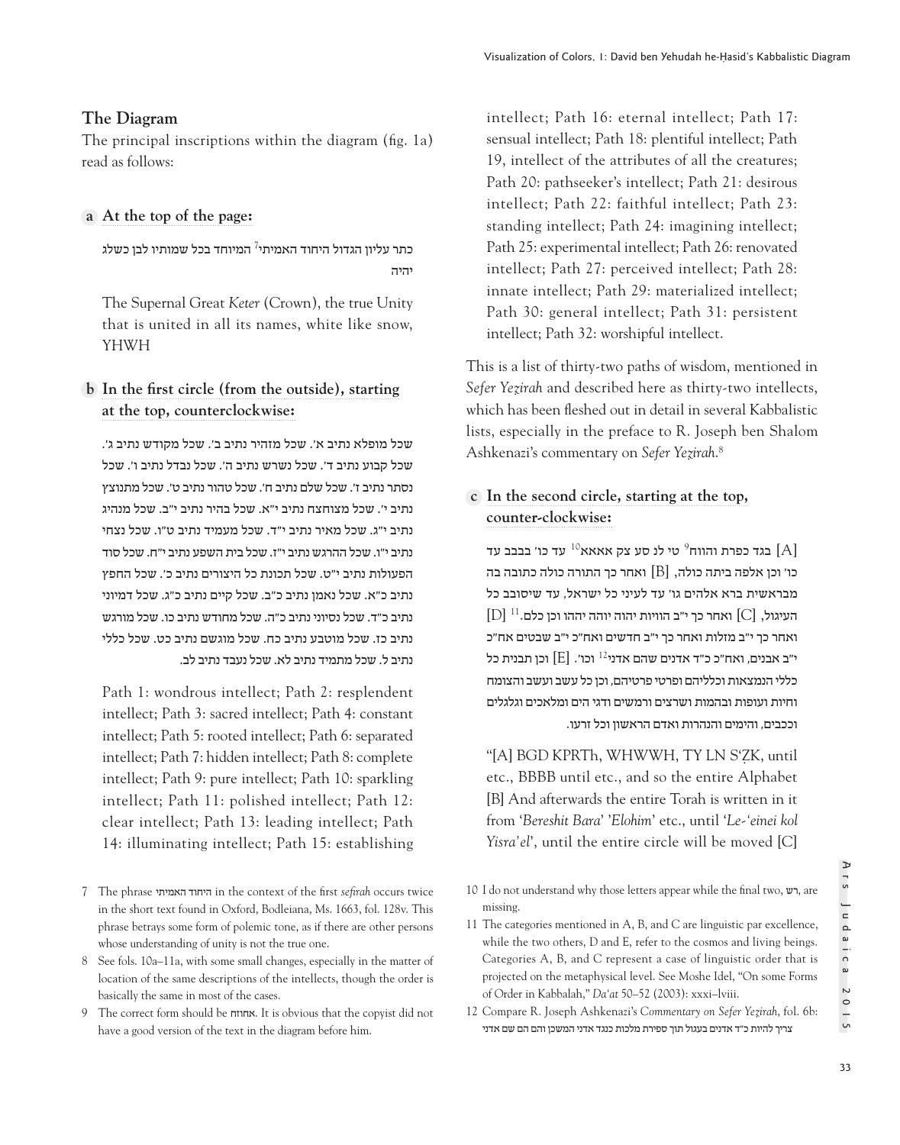# **The Diagram**

The principal inscriptions within the diagram (fig. 1a) read as follows:

# **At the top of the page: a**

כתר עליון הגדול היחוד האמיתי<sup>7</sup> המיוחד בכל שמותיו לבן כשלג יהיה

The Supernal Great *Keter* (Crown), the true Unity that is united in all its names, white like snow, YHWH

# **In the first circle (from the outside), starting bat the top, counterclockwise:**

שכל מופלא נתיב א'. שכל מזהיר נתיב ב'. שכל מקודש נתיב ג'. שכל קבוע נתיב ד'. שכל נשרש נתיב ה'. שכל נבדל נתיב ו'. שכל נסתר נתיב ז'. שכל שלם נתיב ח'. שכל טהור נתיב ט'. שכל מתנוצץ נתיב י'. שכל מצוחצח נתיב י"א. שכל בהיר נתיב י"ב. שכל מנהיג נתיב י"ג. שכל מאיר נתיב י"ד. שכל מעמיד נתיב ט"ו. שכל נצחי נתיב י"ו. שכל ההרגש נתיב י"ז. שכל בית השפע נתיב י"ח. שכל סוד הפעולות נתיב י"ט. שכל תכונת כל היצורים נתיב כ'. שכל החפץ נתיב כ"א. שכל נאמן נתיב כ"ב. שכל קיים נתיב כ"ג. שכל דמיוני נתיב כ"ד. שכל נסיוני נתיב כ"ה. שכל מחודש נתיב כו. שכל מורגש נתיב כז. שכל מוטבע נתיב כח. שכל מוגשם נתיב כט. שכל כללי נתיב ל. שכל מתמיד נתיב לא. שכל נעבד נתיב לב.

Path 1: wondrous intellect; Path 2: resplendent intellect; Path 3: sacred intellect; Path 4: constant intellect; Path 5: rooted intellect; Path 6: separated intellect; Path 7: hidden intellect; Path 8: complete intellect; Path 9: pure intellect; Path 10: sparkling intellect; Path 11: polished intellect; Path 12: clear intellect; Path 13: leading intellect; Path 14: illuminating intellect; Path 15: establishing

intellect; Path 16: eternal intellect; Path 17: sensual intellect; Path 18: plentiful intellect; Path 19, intellect of the attributes of all the creatures; Path 20: pathseeker's intellect; Path 21: desirous intellect; Path 22: faithful intellect; Path 23: standing intellect; Path 24: imagining intellect; Path 25: experimental intellect; Path 26: renovated intellect; Path 27: perceived intellect; Path 28: innate intellect; Path 29: materialized intellect; Path 30: general intellect; Path 31: persistent intellect; Path 32: worshipful intellect.

This is a list of thirty-two paths of wisdom, mentioned in *Sefer Yeẓirah* and described here as thirty-two intellects, which has been fleshed out in detail in several Kabbalistic lists, especially in the preface to R. Joseph ben Shalom Ashkenazi's commentary on *Sefer Yeẓirah*. 8

# **In the second circle, starting at the top, c counter-clockwise:**

בגד כפרת והווח $^9$  טי לנ סע צק אאאא $^{10}$  עד כו' בבבב עד  ${\rm [A]}$ כו׳ וכן אלפה ביתה כולה,  ${\rm [B]}$  ואחר כך התורה כולה כתובה בה מבראשית ברא אלהים גו' עד לעיני כל ישראל, עד שיסובב כל  $\left[ \text{D} \right]$ ואחר כך י"ב הוויות יהוה יוהה יההו וכן כלם. $\left[ \text{C} \right]$ ואחר כך י"ב מזלות ואחר כך י"ב חדשים ואח"כ י"ב שבטים אח"כ י"ב אבנים, ואח"כ כ"ד אדנים שהם אדני $^{12}$  וכו'.  $[{\rm E}]$  וכן תבנית כל כללי הנמצאות וכלליהם ופרטי פרטיהם, וכן כל עשב ועשב והצומח וחיות ועופות ובהמות ושרצים ורמשים ודגי הים ומלאכים וגלגלים וככבים, והימים והנהרות ואדם הראשון וכל זרעו.

"[A] BGD KPRTh, WHWWH, TY LN S'ZK, until etc., BBBB until etc., and so the entire Alphabet [B] And afterwards the entire Torah is written in it from '*Bereshit Bara*' '*Elohim*' etc., until '*Le-'einei kol Yisra'el*', until the entire circle will be moved [C]

10 I do not understand why those letters appear while the final two, רש, are missing.

<sup>7</sup> The phrase האמיתי היחוד in the context of the first *sefirah* occurs twice in the short text found in Oxford, Bodleiana, Ms. 1663, fol. 128v. This phrase betrays some form of polemic tone, as if there are other persons whose understanding of unity is not the true one.

<sup>8</sup> See fols. 10a–11a, with some small changes, especially in the matter of location of the same descriptions of the intellects, though the order is basically the same in most of the cases.

<sup>9</sup> The correct form should be אחוזח. It is obvious that the copyist did not have a good version of the text in the diagram before him.

<sup>11</sup> The categories mentioned in A, B, and C are linguistic par excellence, while the two others, D and E, refer to the cosmos and living beings. Categories A, B, and C represent a case of linguistic order that is projected on the metaphysical level. See Moshe Idel, "On some Forms of Order in Kabbalah," *Da'at* 50–52 (2003): xxxi–lviii.

<sup>12</sup> Compare R. Joseph Ashkenazi's *Commentary on Sefer Yez*̣*irah*, fol. 6b: צריך להיות כ"ד אדנים בעגול תוך ספירת מלכות כנגד אדני המשכן והם הם שם אדני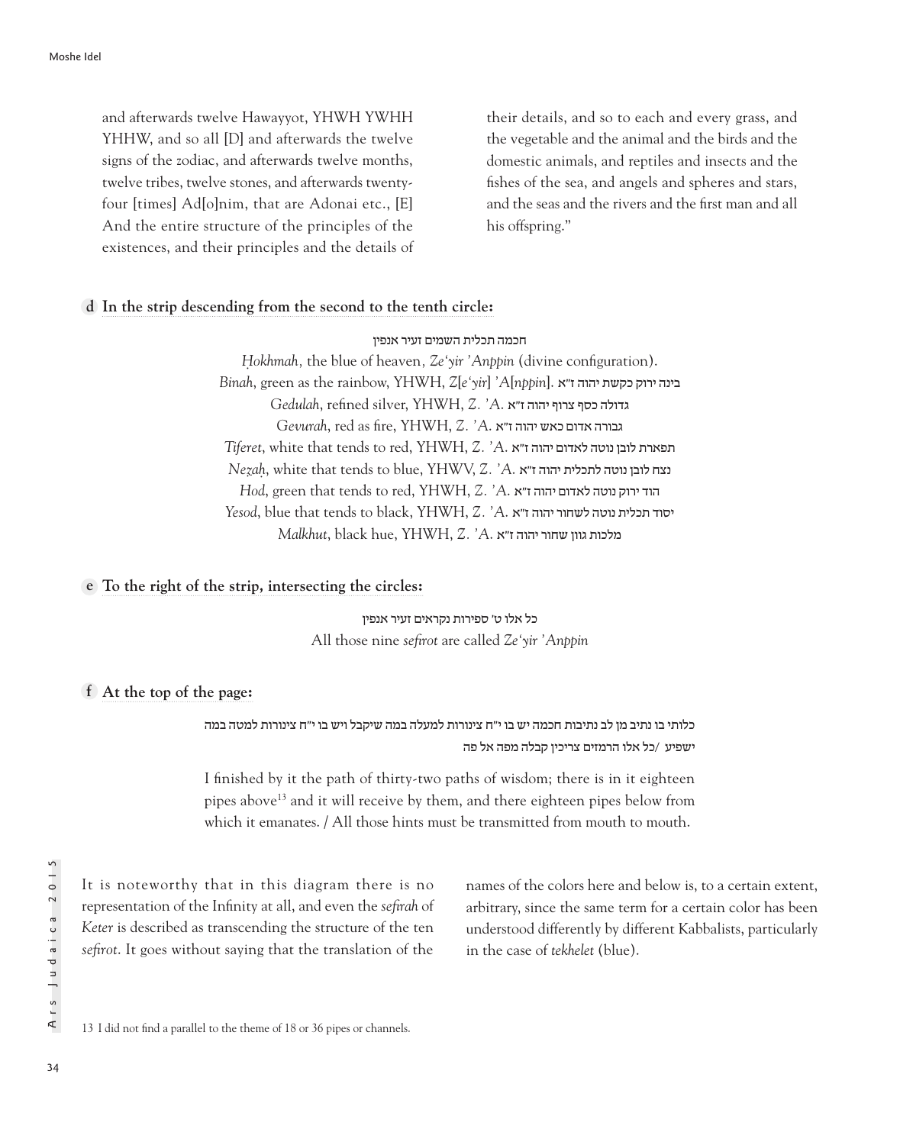and afterwards twelve Hawayyot, YHWH YWHH YHHW, and so all [D] and afterwards the twelve signs of the zodiac, and afterwards twelve months, twelve tribes, twelve stones, and afterwards twentyfour [times] Ad[o]nim, that are Adonai etc., [E] And the entire structure of the principles of the existences, and their principles and the details of their details, and so to each and every grass, and the vegetable and the animal and the birds and the domestic animals, and reptiles and insects and the fishes of the sea, and angels and spheres and stars, and the seas and the rivers and the first man and all his offspring."

## **In the strip descending from the second to the tenth circle: d**

#### חכמה תכלית השמים זעיר אנפין

*Hokhmah*, the blue of heaven, *Ze'yir 'Anppin* (divine configuration). *Binah*, green as the rainbow, YHWH, *Z*[*e'yir*] *'A*[*nppin*]. א"ז יהוה כקשת ירוק בינה גדולה כסף צרוף יהוה ז"א .*A '.Z* ,YHWH ,silver refined ,*Gedulah Gevurah*, red as fire, YHWH, *Z. 'A*. א"ז יהוה כאש אדום גבורה *Tiferet*, white that tends to red, YHWH, *Z. 'A*. א"ז יהוה לאדום נוטה לובן תפארת  $Nezah$ , white that tends to blue, YHWV, *Z. 'A. א"ז יהוה לתכלית יהוה Hod*, green that tends to red, YHWH, *Z. 'A*. א"ז יהוה לאדום נוטה ירוק הוד *Yesod*, blue that tends to black, YHWH, *Z. 'A*. א"ז יהוה לשחור נוטה תכלית יסוד  $\emph{Malkhut}$ , black hue, YHWH, Z. 'A. מלכות גוון שחור יהוה ז"א

## **To the right of the strip, intersecting the circles: e**

כל אלו ט' ספירות נקראים זעיר אנפין All those nine *sefirot* are called *Ze'yir 'Anppin*

## **At the top of the page: f**

כלותי בו נתיב מן לב נתיבות חכמה יש בו י"ח צינורות למעלה במה שיקבל ויש בו י"ח צינורות למטה במה ישפיע /כל אלו הרמזים צריכין קבלה מפה אל פה

I finished by it the path of thirty-two paths of wisdom; there is in it eighteen pipes above13 and it will receive by them, and there eighteen pipes below from which it emanates. / All those hints must be transmitted from mouth to mouth.

It is noteworthy that in this diagram there is no representation of the Infinity at all, and even the *sefirah* of *Keter* is described as transcending the structure of the ten *sefirot*. It goes without saying that the translation of the names of the colors here and below is, to a certain extent, arbitrary, since the same term for a certain color has been understood differently by different Kabbalists, particularly in the case of *tekhelet* (blue).

13 I did not find a parallel to the theme of 18 or 36 pipes or channels.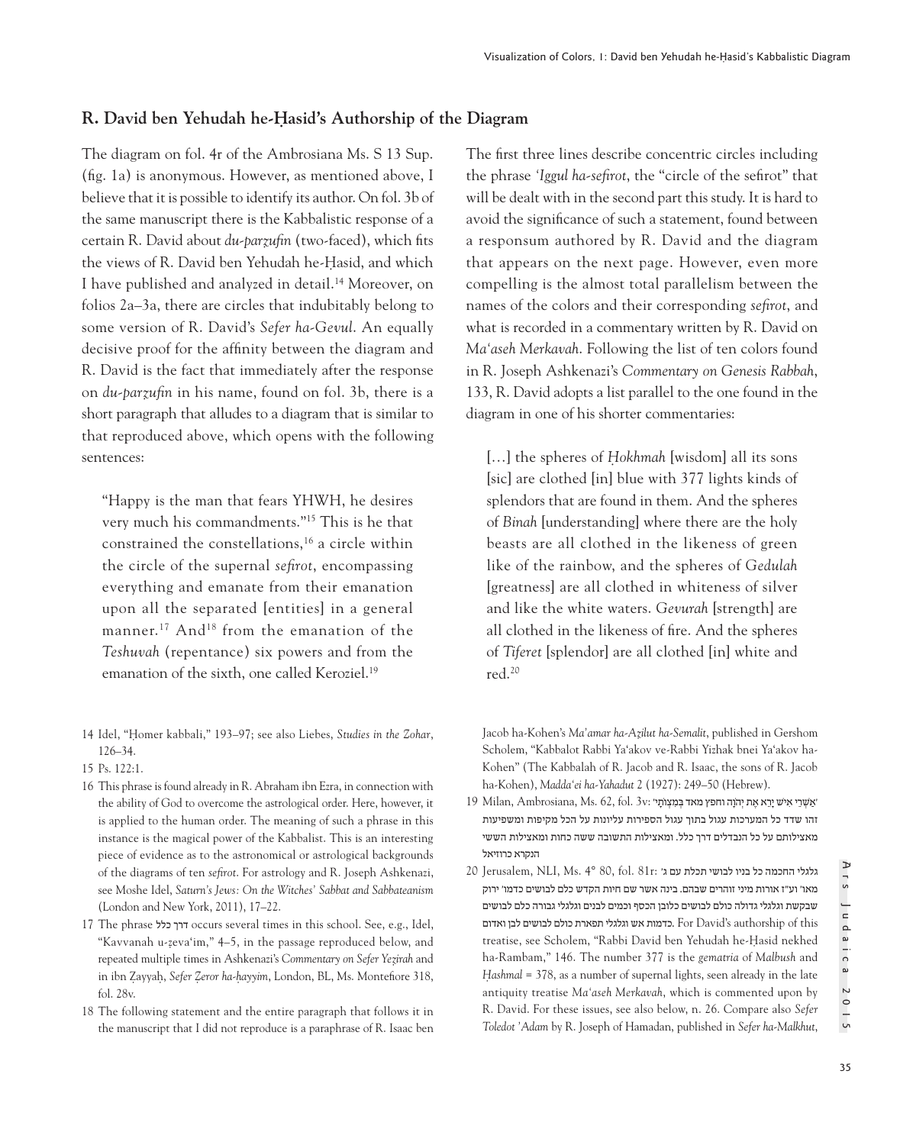# **R. David ben Yehudah he-Ḥasid's Authorship of the Diagram**

The diagram on fol. 4r of the Ambrosiana Ms. S 13 Sup. (fig. 1a) is anonymous. However, as mentioned above, I believe that it is possible to identify its author. On fol. 3b of the same manuscript there is the Kabbalistic response of a certain R. David about *du-parẓufin* (two-faced), which fits the views of R. David ben Yehudah he-Hasid, and which I have published and analyzed in detail.14 Moreover, on folios 2a–3a, there are circles that indubitably belong to some version of R. David's *Sefer ha-Gevul*. An equally decisive proof for the affinity between the diagram and R. David is the fact that immediately after the response on *du-parẓufin* in his name, found on fol. 3b, there is a short paragraph that alludes to a diagram that is similar to that reproduced above, which opens with the following sentences:

"Happy is the man that fears YHWH, he desires very much his commandments."15 This is he that constrained the constellations,16 a circle within the circle of the supernal *sefirot*, encompassing everything and emanate from their emanation upon all the separated [entities] in a general manner.<sup>17</sup> And<sup>18</sup> from the emanation of the *Teshuvah* (repentance) six powers and from the emanation of the sixth, one called Keroziel.<sup>19</sup>

- 14 Idel, "Ḥomer kabbali," 193–97; see also Liebes, *Studies in the Zohar*, 126–34.
- 15 Ps. 122:1.
- 16 This phrase is found already in R. Abraham ibn Ezra, in connection with the ability of God to overcome the astrological order. Here, however, it is applied to the human order. The meaning of such a phrase in this instance is the magical power of the Kabbalist. This is an interesting piece of evidence as to the astronomical or astrological backgrounds of the diagrams of ten *sefirot*. For astrology and R. Joseph Ashkenazi, see Moshe Idel, *Saturn's Jews: On the Witches' Sabbat and Sabbateanism* (London and New York, 2011), 17–22.
- 17 The phrase כלל דרך occurs several times in this school. See, e.g., Idel, "Kavvanah u-zeva'im," 4-5, in the passage reproduced below, and repeated multiple times in Ashkenazi's *Commentary on Sefer Yez*̣*irah* and in ibn Zayyah, *Sefer Zeror ha-hayyim*, London, BL, Ms. Montefiore 318, fol. 28v.
- 18 The following statement and the entire paragraph that follows it in the manuscript that I did not reproduce is a paraphrase of R. Isaac ben

The first three lines describe concentric circles including the phrase *'Iggul ha-sefirot*, the "circle of the sefirot" that will be dealt with in the second part this study. It is hard to avoid the significance of such a statement, found between a responsum authored by R. David and the diagram that appears on the next page. However, even more compelling is the almost total parallelism between the names of the colors and their corresponding *sefirot*, and what is recorded in a commentary written by R. David on *Ma'aseh Merkavah*. Following the list of ten colors found in R. Joseph Ashkenazi's *Commentary on Genesis Rabbah*, 133, R. David adopts a list parallel to the one found in the diagram in one of his shorter commentaries:

[...] the spheres of *Hokhmah* [wisdom] all its sons [sic] are clothed [in] blue with 377 lights kinds of splendors that are found in them. And the spheres of *Binah* [understanding] where there are the holy beasts are all clothed in the likeness of green like of the rainbow, and the spheres of *Gedulah*  [greatness] are all clothed in whiteness of silver and like the white waters. *Gevurah* [strength] are all clothed in the likeness of fire. And the spheres of *Tiferet* [splendor] are all clothed [in] white and red.20

Jacob ha-Kohen's *Ma'amar ha-Az*̣*ilut ha-Semalit*, published in Gershom Scholem, "Kabbalot Rabbi Ya'akov ve-Rabbi Yizhak bnei Ya'akov ha-Kohen" (The Kabbalah of R. Jacob and R. Isaac, the sons of R. Jacob ha-Kohen), *Madda'ei ha-Yahadut* 2 (1927): 249–50 (Hebrew).

- $19$  Milan, Ambrosiana, Ms. 62, fol. 3v: אַשְׁרִי אַיֹּשׁ יִרָא אֶת יְהֹוֶה וחפץ מאד בַּמַצְוֹתִי' : זהו שדד כל המערכות עגול בתוך עגול הספירות עליונות על הכל מקיפות ומשפיעות מאצילותם על כל הנבדלים דרך כלל. ומאצילות התשובה ששה כחות ומאצילות הששי הנקרא כרוזיאל
- $20$  Jerusalem, NLI, Ms. 4° 80, fol. 81r: גלגלי החכמה כל בניו לבושי תכלת עם ג' מאו' וע"ז אורות מיני זוהרים שבהם. בינה אשר שם חיות הקדש כלם לבושים כדמו' ירוק שבקשת וגלגלי גדולה כולם לבושים כלובן הכסף וכמים לבנים וגלגלי גבורה כלם לבושים this of authorship s'David For .כדמות אש וגלגלי תפארת כולם לבושים לבן ואדום treatise, see Scholem, "Rabbi David ben Yehudah he-Hasid nekhed ha-Rambam," 146. The number 377 is the *gematria* of *Malbush* and *Hashmal* = 378, as a number of supernal lights, seen already in the late antiquity treatise *Ma'aseh Merkavah*, which is commented upon by R. David. For these issues, see also below, n. 26. Compare also *Sefer Toledot 'Adam* by R. Joseph of Hamadan, published in *Sefer ha-Malkhut*,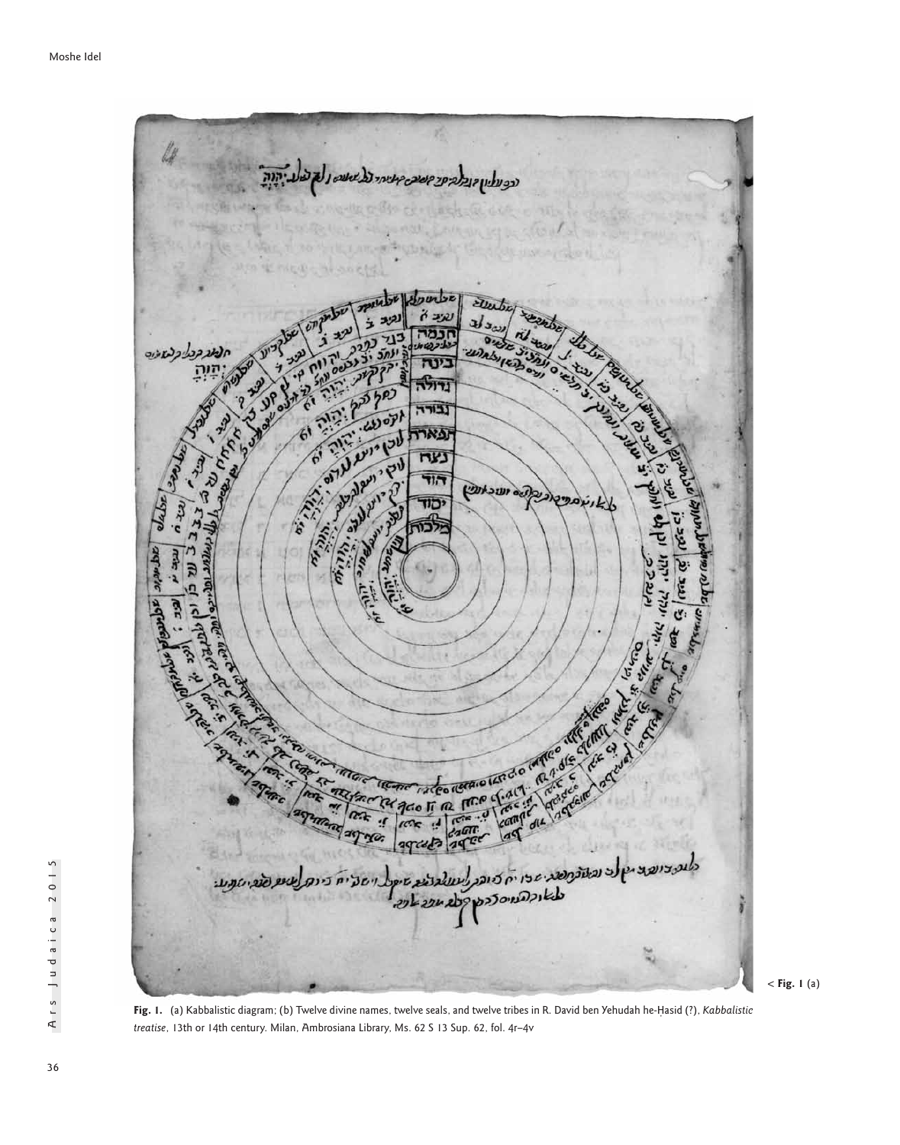

< **Fig. 1** (a)

**Fig. 1.** (a) Kabbalistic diagram; (b) Twelve divine names, twelve seals, and twelve tribes in R. David ben Yehudah he-Ḥasid (?), *Kabbalistic treatise*, 13th or 14th century. Milan, Ambrosiana Library, Ms. 62 S 13 Sup. 62, fol. 4r–4v

Ars Judaica 2015

Ars Judaica 2015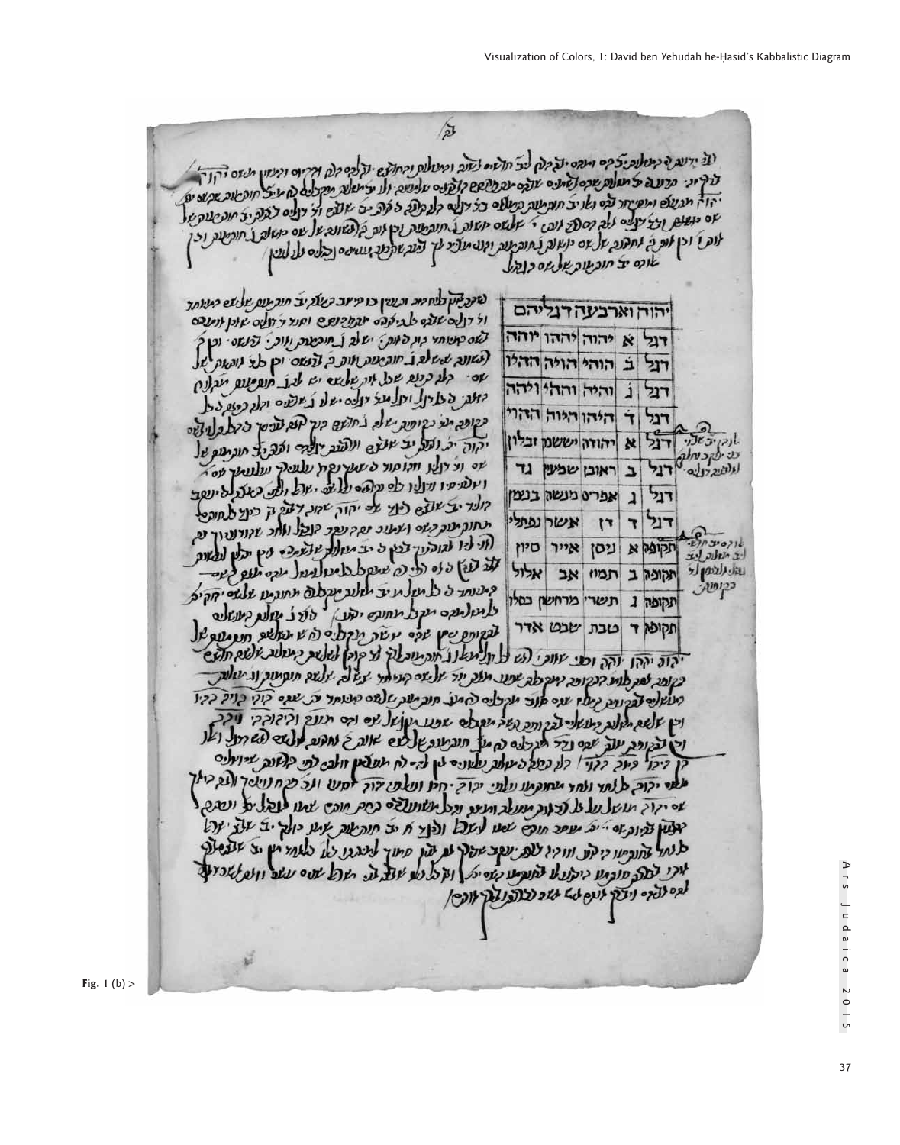谷

יגי ידעה ה קייטלנפיצים ומפס יציבות ליצ חלשים לשנב ומעולות ובחוקם יודלבם זלת וקירום ומנוע משם יהוד ברקיובי פרע בי ציום ופיקו מותום עד כביו ועות פורי ומעונות ומחומשי בנפי מקום ומיינים ומעון משם ייקודי יהו ה מגעולם ומפניחד הכי נא יצ' חות עות כמולם כל דולים קל בסיים ועישים יותר יכולים לא מיצ' חופשות שקיום ים.<br>יהו ה מגעולם ומפניחד הכי נא יצ' חות עות כמולם כל דולים קל בקרב בי פרב יש על זו דולים לבצת יד חוג שנת של שם כנשים וצי יצובים ללה קיספר לנפי י שלשם משונת ל מנפטנה טיקוב בי טובים וד יצובים לבנה יצ' מנפטנתים יום ו' וכן אות כ' נחתוב על יום כן על ידי תעשי קטעות ומופעות וכן ונג בן נשונה על עם כן און<br>אום א' וכן אות כ' נחתוב על עם יא עולה ג' חובותעם והולי ואך ציע שקפת מטייםם ופעם על לעץ אופס יב חובעוב שלשם כנבל

|  | יהוה וארבעה דגליהם       |  |                                    |
|--|--------------------------|--|------------------------------------|
|  | דול א יהוה יההו יוחה     |  |                                    |
|  | דול ב הוהי הויה הדולו    |  |                                    |
|  | דגל ג והיה וההי ויהה     |  |                                    |
|  | דגל ד היהו היות ההול     |  |                                    |
|  |                          |  | לוקיב זהי דגל א הודה יששנו ובלון   |
|  |                          |  | עייפק כוחלי רגל ב ראובן שמעין גד   |
|  | דגל ג אפרים מנשה בנצמן   |  |                                    |
|  | דנל ד דן אשרנפתלי        |  |                                    |
|  |                          |  | לב משלת לבד תקופה א ניסן אייר סיון |
|  | תקופק ב תמוז אב אלול     |  | للتان اللاهمالة                    |
|  | תקופה ג תשרי מרחשון כסלו |  |                                    |
|  | תקופה ד טבת שבט אדר      |  |                                    |

לאבלאן כלח מת ובערן כו קייוב קעלקיב חוב עם שלעם קיעותך ול דונה שלבם לגילה מבתוכנת ש וקור ל דולה שונן אותנה לאם קוטותי בון לאות: ישלב ב תוכשות ואות . בישום . וכן ל לשונה שיש לג חוב שנת ווות כ לנשם וכן אד וונעם של Jo. ste cres ach the abra is bet everythe refer יות בעיול יחל ידי יולם ישל ג' ישים ידי כשובל כשופה תעי כקופית ישלה בחושם כנך הוא ענישי כי כל בליושים יקוה ים ועל יצ אצים ונועו דולים ומב ל חובתום של to le elf lierare a maria es marca ועלים יו נרולו לפנקים עלים יול ול בשל ליונות קולד יב שובם כוד על יהוק שקו דעק ק כיוד לחופט תחוק עוק בשים ושעוב נפך נופך בובל ולחב שקודוניוך ופ רוני ליו לגודינוך בבין כי יב מזורת שלשיכה לין ידיאן לפאות<br>עדי צוהן בילי דריי בי שיום באבל משאניעול יובה יעש ביוב quester e que per reple ade une a spa ide למולענם ועול מחוקם יקובן outer pole soo לבנותם שין שפי נושה תקלים לוש תאשוב חנו עובל

יהוה יההן יוהה וכני שווכי לגי ל תל משנג אוה עובלך לי קוק לעלות קיעלות אלום חלים כלובה לבק לוני הנקיופה מוקדם שפע יולפ יוד יול שם קוני אד יצא לה יולשם חופיעות וגיטלות מעול שבנות נעו עם פור מקצים לחול תוב יעת שלשם מנותד ע שום קולי כןיל כקי וכן שלשם חלונג כיעשלי לבגורפ גשה ישובלם שפע יעוש לכי וכם תעץ והיזוקקי ניקב וכן לבנונה יעל עם נדר תוכלם נה על חוב ענפו לעם אונה ל נחנום עלשם להזרול ואנ דיבו ביוב בזו לע במקביעות עלונים לין לה ירח תעלמן וולב לפי כלאות שיואנים מלשי יקוב ללתר ולחד מחוקתו עלתי יקוד יחיו ועלפי דור ימש ולכ מי ניוטך ולג כיאך to res reset with the figure med ment of a coc mes the effect of was יאלין בקוב ובי יול מעופר תוכי שמו לעול ולוץ ח יב חוקשוב איע יולק יב על יול לנחל לחוריעו קיקע וווקין לות יעקב אבוך לב עון פיעך למגבו לל כלוחי יץ יב אנפטור אוקני לבוב סוכמו ביתועל למופיע בעייל | וקבל לע שול ת היול שנים עשב ווע לשניע לגם ללקם ניצק לעם לג שוב לצופ נעק אופין

**Fig. 1** (b) >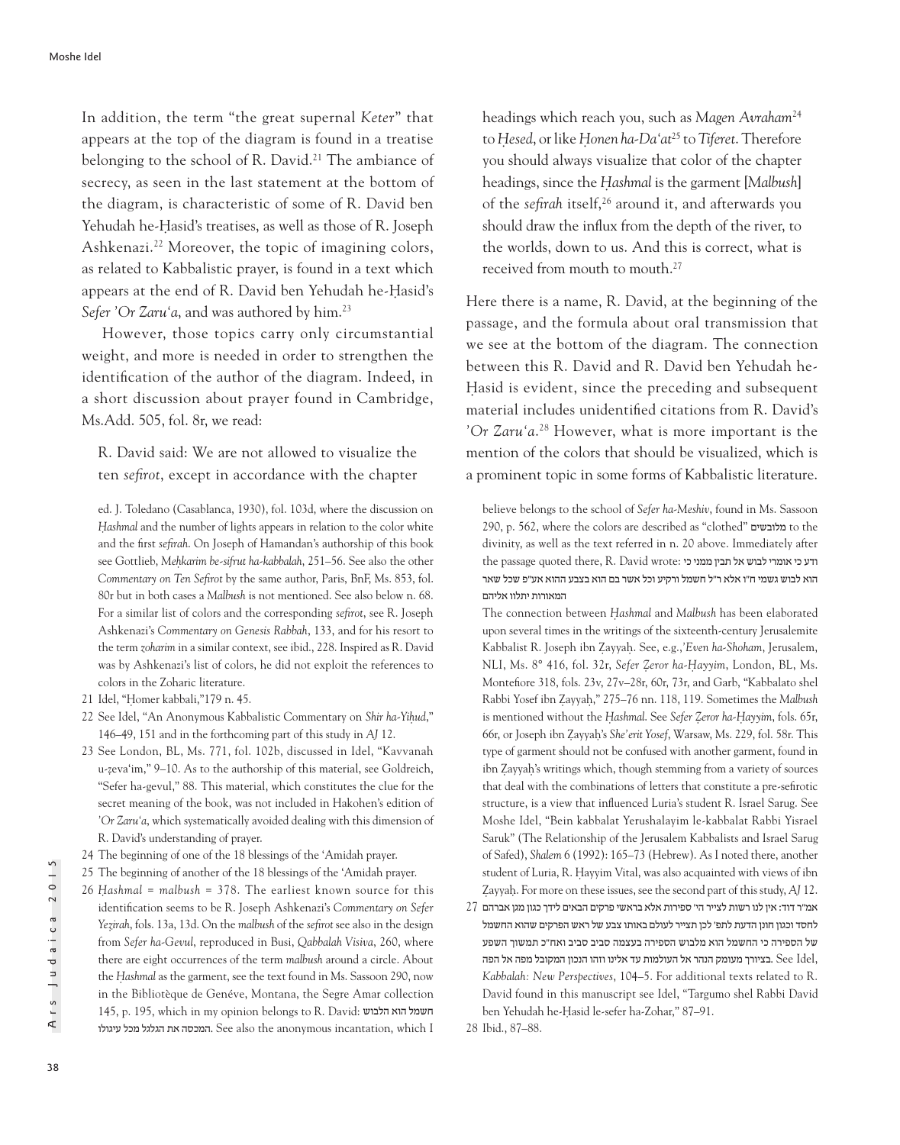In addition, the term "the great supernal *Keter*" that appears at the top of the diagram is found in a treatise belonging to the school of R. David.<sup>21</sup> The ambiance of secrecy, as seen in the last statement at the bottom of the diagram, is characteristic of some of R. David ben Yehudah he-Hasid's treatises, as well as those of R. Joseph Ashkenazi.22 Moreover, the topic of imagining colors, as related to Kabbalistic prayer, is found in a text which appears at the end of R. David ben Yehudah he-Hasid's Sefer 'Or Zaru'a, and was authored by him.<sup>23</sup>

However, those topics carry only circumstantial weight, and more is needed in order to strengthen the identification of the author of the diagram. Indeed, in a short discussion about prayer found in Cambridge, Ms.Add. 505, fol. 8r, we read:

R. David said: We are not allowed to visualize the ten *sefirot*, except in accordance with the chapter

ed. J. Toledano (Casablanca, 1930), fol. 103d, where the discussion on Hashmal and the number of lights appears in relation to the color white and the first *sefirah*. On Joseph of Hamandan's authorship of this book see Gottlieb, *Meh*̣*karim be-sifrut ha-kabbalah*, 251–56. See also the other *Commentary on Ten Sefirot* by the same author, Paris, BnF, Ms. 853, fol. 80r but in both cases a *Malbush* is not mentioned. See also below n. 68. For a similar list of colors and the corresponding *sefirot*, see R. Joseph Ashkenazi's *Commentary on Genesis Rabbah*, 133, and for his resort to the term *zoharim* in a similar context, see ibid., 228. Inspired as R. David was by Ashkenazi's list of colors, he did not exploit the references to colors in the Zoharic literature.

- 21 Idel, "Homer kabbali,"179 n. 45.
- 22 See Idel, "An Anonymous Kabbalistic Commentary on *Shir ha-Yih*̣*ud*," 146–49, 151 and in the forthcoming part of this study in *AJ* 12.
- 23 See London, BL, Ms. 771, fol. 102b, discussed in Idel, "Kavvanah u-zeva'im," 9–10. As to the authorship of this material, see Goldreich, ̣ "Sefer ha-gevul," 88. This material, which constitutes the clue for the secret meaning of the book, was not included in Hakohen's edition of *'Or Zaru'a*, which systematically avoided dealing with this dimension of R. David's understanding of prayer.
- 24 The beginning of one of the 18 blessings of the 'Amidah prayer.
- 25 The beginning of another of the 18 blessings of the 'Amidah prayer.
- 26 *H*̣ *ashmal* = *malbush* = 378. The earliest known source for this identification seems to be R. Joseph Ashkenazi's *Commentary on Sefer Yez*̣*irah*, fols. 13a, 13d. On the *malbush* of the *sefirot* see also in the design from *Sefer ha-Gevul*, reproduced in Busi, *Qabbalah Visiva*, 260, where there are eight occurrences of the term *malbush* around a circle. About the *H*̣*ashmal* as the garment, see the text found in Ms. Sassoon 290, now in the Bibliotèque de Genéve, Montana, the Segre Amar collection 145, p. 195, which in my opinion belongs to R. David: הלבוש הוא חשמל המכסה את הגלגל מכל עיגולו. See also the anonymous incantation, which I

headings which reach you, such as *Magen Avraham*<sup>24</sup> to *H*̣*esed*, or like *H*̣*onen ha-Da'at*25 to *Tiferet*. Therefore you should always visualize that color of the chapter headings, since the *H*̣*ashmal* is the garment [*Malbush*] of the *sefirah* itself,<sup>26</sup> around it, and afterwards you should draw the influx from the depth of the river, to the worlds, down to us. And this is correct, what is received from mouth to mouth.<sup>27</sup>

Here there is a name, R. David, at the beginning of the passage, and the formula about oral transmission that we see at the bottom of the diagram. The connection between this R. David and R. David ben Yehudah he-Hasid is evident, since the preceding and subsequent material includes unidentified citations from R. David's *'Or Zaru'a*. 28 However, what is more important is the mention of the colors that should be visualized, which is a prominent topic in some forms of Kabbalistic literature.

believe belongs to the school of *Sefer ha-Meshiv*, found in Ms. Sassoon 290, p. 562, where the colors are described as "clothed" מלובשים to the divinity, as well as the text referred in n. 20 above. Immediately after the passage quoted there, R. David wrote: ודע כי אומרי לבוש אל תבין ממני כי הוא לבוש גשמי ח"ו אלא ר"ל חשמל ורקיע וכל אשר בם הוא בצבע ההוא אע"פ שכל שאר המאורות יתלוו אליהם

The connection between *H*̣*ashmal* and *Malbush* has been elaborated upon several times in the writings of the sixteenth-century Jerusalemite Kabbalist R. Joseph ibn Zayyah. See, e.g.,'Even ha-Shoham, Jerusalem, NLI, Ms. 8° 416, fol. 32r, *Sefer Z*̣*eror ha-H*̣ *ayyim*, London, BL, Ms. Montefiore 318, fols. 23v, 27v–28r, 60r, 73r, and Garb, "Kabbalato shel Rabbi Yosef ibn Ẓayyaḥ," 275–76 nn. 118, 119. Sometimes the *Malbush* is mentioned without the *H*̣*ashmal*. See *Sefer Z*̣*eror ha-H*̣*ayyim*, fols. 65r, 66r, or Joseph ibn Ẓayyaḥ's *She'erit Yosef*, Warsaw, Ms. 229, fol. 58r. This type of garment should not be confused with another garment, found in ibn Zayyah's writings which, though stemming from a variety of sources that deal with the combinations of letters that constitute a pre-sefirotic structure, is a view that influenced Luria's student R. Israel Sarug. See Moshe Idel, "Bein kabbalat Yerushalayim le-kabbalat Rabbi Yisrael Saruk" (The Relationship of the Jerusalem Kabbalists and Israel Sarug of Safed), *Shalem* 6 (1992): 165–73 (Hebrew). As I noted there, another student of Luria, R. Hayyim Vital, was also acquainted with views of ibn Zayyah. For more on these issues, see the second part of this study, *AJ* 12.

אמ"ר דוד: אין לנו רשות לצייר הי' ספירות אלא בראשי פרקים הבאים לידך כגון מגן אברהם 27 לחסד וכגון חונן הדעת לתפ' לכן תצייר לעולם באותו צבע של ראש הפרקים שהוא החשמל של הספירה כי החשמל הוא מלבוש הספירה בעצמה סביב סביב ואח"כ תמשוך השפע הציורך מעומק הנהר אל העולמות עד אלינו וזהו הנכון המקובל מפה אל הפה Bee Idel, *Kabbalah: New Perspectives*, 104–5. For additional texts related to R. David found in this manuscript see Idel, "Targumo shel Rabbi David ben Yehudah he-Hasid le-sefer ha-Zohar," 87-91.

28 Ibid., 87–88.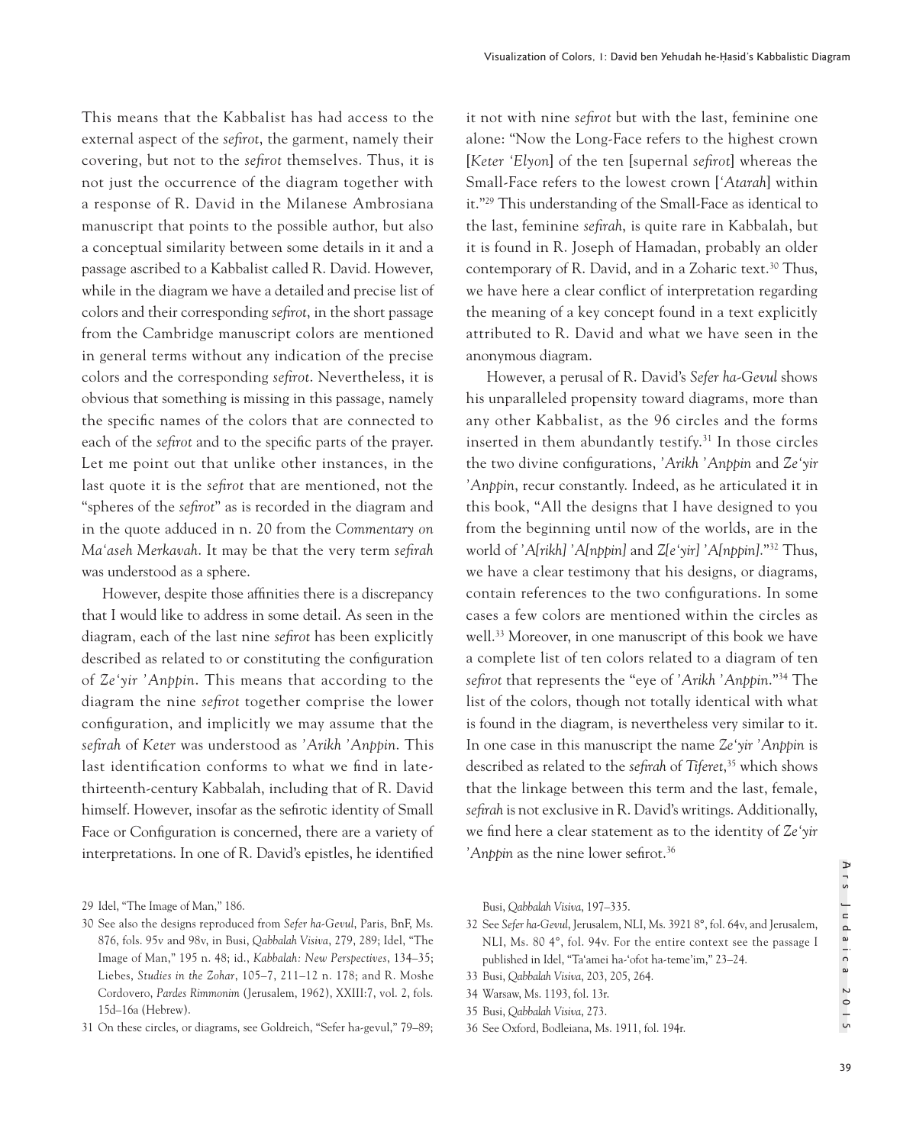This means that the Kabbalist has had access to the external aspect of the *sefirot*, the garment, namely their covering, but not to the *sefirot* themselves. Thus, it is not just the occurrence of the diagram together with a response of R. David in the Milanese Ambrosiana manuscript that points to the possible author, but also a conceptual similarity between some details in it and a passage ascribed to a Kabbalist called R. David. However, while in the diagram we have a detailed and precise list of colors and their corresponding *sefirot*, in the short passage from the Cambridge manuscript colors are mentioned in general terms without any indication of the precise colors and the corresponding *sefirot*. Nevertheless, it is obvious that something is missing in this passage, namely the specific names of the colors that are connected to each of the *sefirot* and to the specific parts of the prayer. Let me point out that unlike other instances, in the last quote it is the *sefirot* that are mentioned, not the "spheres of the *sefirot*" as is recorded in the diagram and in the quote adduced in n. 20 from the *Commentary on Ma'aseh Merkavah*. It may be that the very term *sefirah* was understood as a sphere.

However, despite those affinities there is a discrepancy that I would like to address in some detail. As seen in the diagram, each of the last nine *sefirot* has been explicitly described as related to or constituting the configuration of *Ze'yir 'Anppin*. This means that according to the diagram the nine *sefirot* together comprise the lower configuration, and implicitly we may assume that the *sefirah* of *Keter* was understood as *'Arikh 'Anppin*. This last identification conforms to what we find in latethirteenth-century Kabbalah, including that of R. David himself. However, insofar as the sefirotic identity of Small Face or Configuration is concerned, there are a variety of interpretations. In one of R. David's epistles, he identified

31 On these circles, or diagrams, see Goldreich, "Sefer ha-gevul," 79–89;

it not with nine *sefirot* but with the last, feminine one alone: "Now the Long-Face refers to the highest crown [*Keter 'Elyon*] of the ten [supernal *sefirot*] whereas the Small-Face refers to the lowest crown [*'Atarah*] within it."29 This understanding of the Small-Face as identical to the last, feminine *sefirah*, is quite rare in Kabbalah, but it is found in R. Joseph of Hamadan, probably an older contemporary of R. David, and in a Zoharic text.<sup>30</sup> Thus, we have here a clear conflict of interpretation regarding the meaning of a key concept found in a text explicitly attributed to R. David and what we have seen in the anonymous diagram.

However, a perusal of R. David's *Sefer ha-Gevul* shows his unparalleled propensity toward diagrams, more than any other Kabbalist, as the 96 circles and the forms inserted in them abundantly testify.31 In those circles the two divine configurations, *'Arikh 'Anppin* and *Ze'yir 'Anppin*, recur constantly. Indeed, as he articulated it in this book, "All the designs that I have designed to you from the beginning until now of the worlds, are in the world of *'A[rikh] 'A[nppin]* and *Z[e'yir] 'A[nppin]*."32 Thus, we have a clear testimony that his designs, or diagrams, contain references to the two configurations. In some cases a few colors are mentioned within the circles as well.33 Moreover, in one manuscript of this book we have a complete list of ten colors related to a diagram of ten *sefirot* that represents the "eye of *'Arikh 'Anppin*."34 The list of the colors, though not totally identical with what is found in the diagram, is nevertheless very similar to it. In one case in this manuscript the name *Ze'yir 'Anppin* is described as related to the *sefirah* of *Tiferet*, 35 which shows that the linkage between this term and the last, female, *sefirah* is not exclusive in R. David's writings. Additionally, we find here a clear statement as to the identity of *Ze'yir*  'Anppin as the nine lower sefirot.<sup>36</sup>

Busi, *Qabbalah Visiva*, 197–335.

- 32 See *Sefer ha-Gevul*, Jerusalem, NLI, Ms. 3921 8°, fol. 64v, and Jerusalem, NLI, Ms. 80 4°, fol. 94v. For the entire context see the passage I published in Idel, "Ta'amei ha-'ofot ha-teme'im," 23–24.
- 33 Busi, *Qabbalah Visiva*, 203, 205, 264.
- 34 Warsaw, Ms. 1193, fol. 13r.
- 35 Busi, *Qabbalah Visiva*, 273.
- 36 See Oxford, Bodleiana, Ms. 1911, fol. 194r.

<sup>29</sup> Idel, "The Image of Man," 186.

<sup>30</sup> See also the designs reproduced from *Sefer ha-Gevul*, Paris, BnF, Ms. 876, fols. 95v and 98v, in Busi, *Qabbalah Visiva*, 279, 289; Idel, "The Image of Man," 195 n. 48; id., *Kabbalah: New Perspectives*, 134–35; Liebes, *Studies in the Zohar*, 105–7, 211–12 n. 178; and R. Moshe Cordovero, *Pardes Rimmonim* (Jerusalem, 1962), XXIII:7, vol. 2, fols. 15d–16a (Hebrew).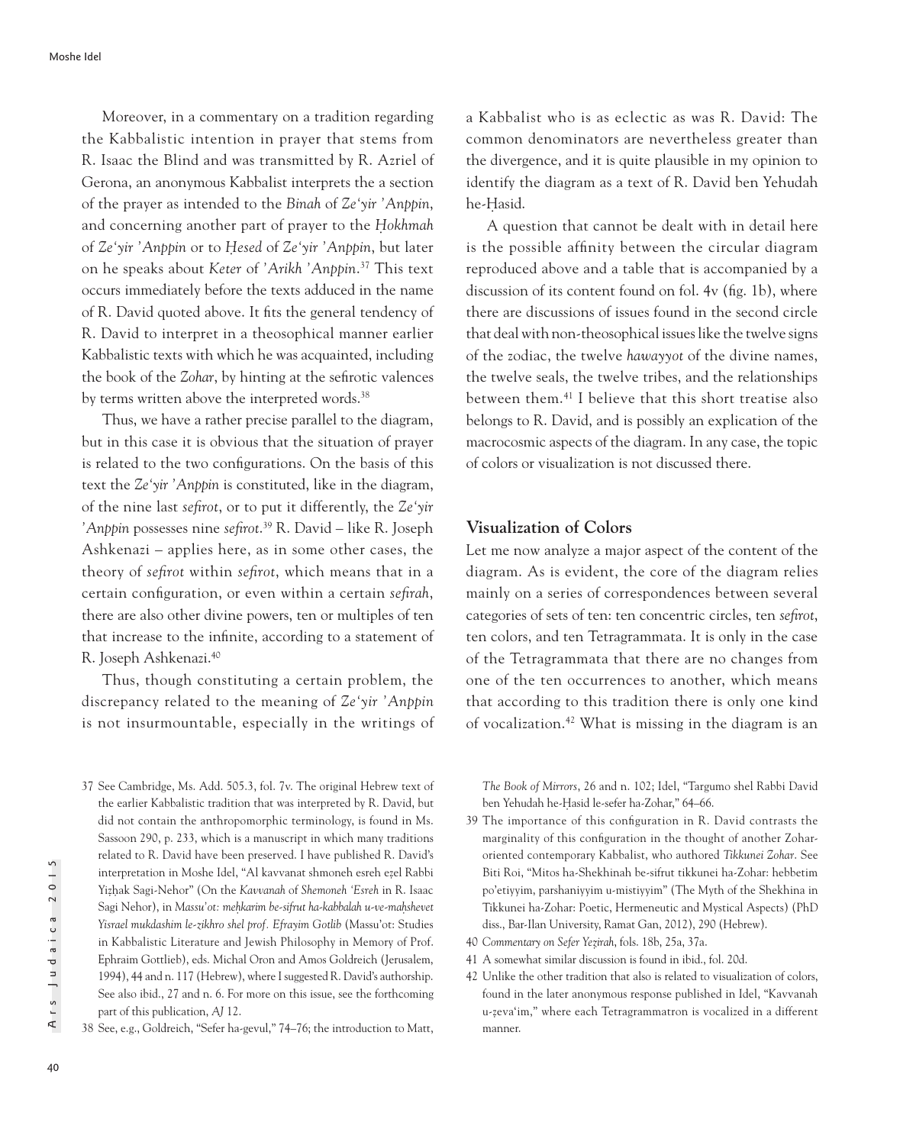Moreover, in a commentary on a tradition regarding the Kabbalistic intention in prayer that stems from R. Isaac the Blind and was transmitted by R. Azriel of Gerona, an anonymous Kabbalist interprets the a section of the prayer as intended to the *Binah* of *Ze'yir 'Anppin*, and concerning another part of prayer to the *Hokhmah* of *Ze'yir 'Anppin* or to *H*̣*esed* of *Ze'yir 'Anppin*, but later on he speaks about *Keter* of *'Arikh 'Anppin*. 37 This text occurs immediately before the texts adduced in the name of R. David quoted above. It fits the general tendency of R. David to interpret in a theosophical manner earlier Kabbalistic texts with which he was acquainted, including the book of the *Zohar*, by hinting at the sefirotic valences by terms written above the interpreted words.<sup>38</sup>

Thus, we have a rather precise parallel to the diagram, but in this case it is obvious that the situation of prayer is related to the two configurations. On the basis of this text the *Ze'yir 'Anppin* is constituted, like in the diagram, of the nine last *sefirot*, or to put it differently, the *Ze'yir 'Anppin* possesses nine *sefirot*. 39 R. David – like R. Joseph Ashkenazi – applies here, as in some other cases, the theory of *sefirot* within *sefirot*, which means that in a certain configuration, or even within a certain *sefirah*, there are also other divine powers, ten or multiples of ten that increase to the infinite, according to a statement of R. Joseph Ashkenazi.40

Thus, though constituting a certain problem, the discrepancy related to the meaning of *Ze'yir 'Anppin* is not insurmountable, especially in the writings of

37 See Cambridge, Ms. Add. 505.3, fol. 7v. The original Hebrew text of the earlier Kabbalistic tradition that was interpreted by R. David, but did not contain the anthropomorphic terminology, is found in Ms. Sassoon 290, p. 233, which is a manuscript in which many traditions related to R. David have been preserved. I have published R. David's interpretation in Moshe Idel, "Al kavvanat shmoneh esreh ezel Rabbi ̣ Yiẓ ḥak Sagi-Nehor" (On the *Kavvanah* of *Shemoneh 'Esreh* in R. Isaac Sagi Nehor), in *Massu'ot: mehkarim be-sifrut ha-kabbalah u-ve-mahshevet Yisrael mukdashim le-zikhro shel prof. Efrayim Gotlib* (Massu'ot: Studies in Kabbalistic Literature and Jewish Philosophy in Memory of Prof. Ephraim Gottlieb), eds. Michal Oron and Amos Goldreich (Jerusalem, 1994), 44 and n. 117 (Hebrew), where I suggested R. David's authorship. See also ibid., 27 and n. 6. For more on this issue, see the forthcoming part of this publication, *AJ* 12.

38 See, e.g., Goldreich, "Sefer ha-gevul," 74–76; the introduction to Matt,

a Kabbalist who is as eclectic as was R. David: The common denominators are nevertheless greater than the divergence, and it is quite plausible in my opinion to identify the diagram as a text of R. David ben Yehudah he-Hasid.

A question that cannot be dealt with in detail here is the possible affinity between the circular diagram reproduced above and a table that is accompanied by a discussion of its content found on fol. 4v (fig. 1b), where there are discussions of issues found in the second circle that deal with non-theosophical issues like the twelve signs of the zodiac, the twelve *hawayyot* of the divine names, the twelve seals, the twelve tribes, and the relationships between them.41 I believe that this short treatise also belongs to R. David, and is possibly an explication of the macrocosmic aspects of the diagram. In any case, the topic of colors or visualization is not discussed there.

## **Visualization of Colors**

Let me now analyze a major aspect of the content of the diagram. As is evident, the core of the diagram relies mainly on a series of correspondences between several categories of sets of ten: ten concentric circles, ten *sefirot*, ten colors, and ten Tetragrammata. It is only in the case of the Tetragrammata that there are no changes from one of the ten occurrences to another, which means that according to this tradition there is only one kind of vocalization.42 What is missing in the diagram is an

*The Book of Mirrors*, 26 and n. 102; Idel, "Targumo shel Rabbi David ben Yehudah he-Ḥasid le-sefer ha-Zohar," 64–66.

- 39 The importance of this configuration in R. David contrasts the marginality of this configuration in the thought of another Zoharoriented contemporary Kabbalist, who authored *Tikkunei Zohar*. See Biti Roi, "Mitos ha-Shekhinah be-sifrut tikkunei ha-Zohar: hebbetim po'etiyyim, parshaniyyim u-mistiyyim" (The Myth of the Shekhina in Tikkunei ha-Zohar: Poetic, Hermeneutic and Mystical Aspects) (PhD diss., Bar-Ilan University, Ramat Gan, 2012), 290 (Hebrew).
- 40 *Commentary on Sefer Yez*̣*irah*, fols. 18b, 25a, 37a.
- 41 A somewhat similar discussion is found in ibid., fol. 20d.
- 42 Unlike the other tradition that also is related to visualization of colors, found in the later anonymous response published in Idel, "Kavvanah u-ẓ eva'im," where each Tetragrammatron is vocalized in a different manner.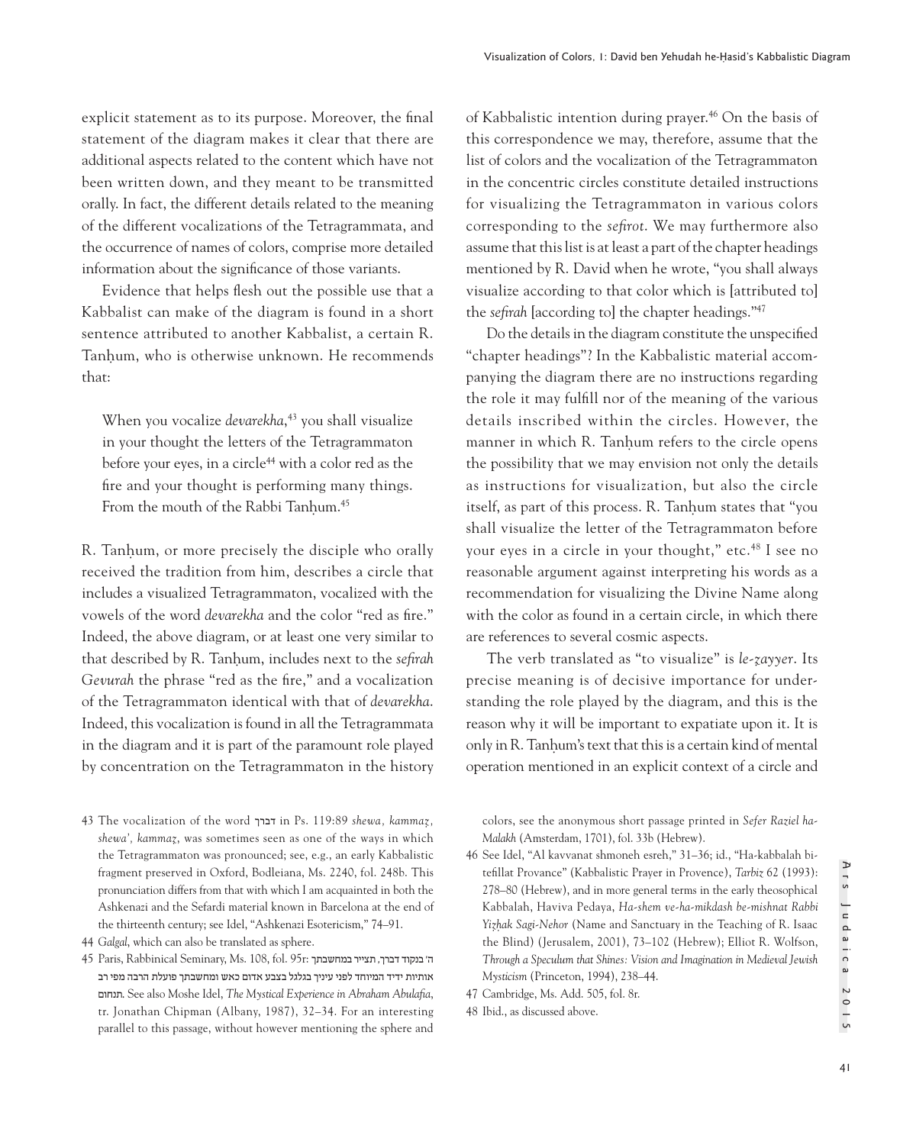explicit statement as to its purpose. Moreover, the final statement of the diagram makes it clear that there are additional aspects related to the content which have not been written down, and they meant to be transmitted orally. In fact, the different details related to the meaning of the different vocalizations of the Tetragrammata, and the occurrence of names of colors, comprise more detailed information about the significance of those variants.

Evidence that helps flesh out the possible use that a Kabbalist can make of the diagram is found in a short sentence attributed to another Kabbalist, a certain R. Tanhum, who is otherwise unknown. He recommends that:

When you vocalize *devarekha*, 43 you shall visualize in your thought the letters of the Tetragrammaton before your eyes, in a circle<sup>44</sup> with a color red as the fire and your thought is performing many things. From the mouth of the Rabbi Tanhum.<sup>45</sup>

R. Tanhum, or more precisely the disciple who orally received the tradition from him, describes a circle that includes a visualized Tetragrammaton, vocalized with the vowels of the word *devarekha* and the color "red as fire." Indeed, the above diagram, or at least one very similar to that described by R. Tanḥum, includes next to the *sefirah Gevurah* the phrase "red as the fire," and a vocalization of the Tetragrammaton identical with that of *devarekha*. Indeed, this vocalization is found in all the Tetragrammata in the diagram and it is part of the paramount role played by concentration on the Tetragrammaton in the history

43 The vocalization of the word דברך in Ps. 119:89 *shewa, kammaz*̣*, shewa', kammaz*̣, was sometimes seen as one of the ways in which the Tetragrammaton was pronounced; see, e.g., an early Kabbalistic fragment preserved in Oxford, Bodleiana, Ms. 2240, fol. 248b. This pronunciation differs from that with which I am acquainted in both the Ashkenazi and the Sefardi material known in Barcelona at the end of the thirteenth century; see Idel, "Ashkenazi Esotericism," 74–91.

of Kabbalistic intention during prayer.46 On the basis of this correspondence we may, therefore, assume that the list of colors and the vocalization of the Tetragrammaton in the concentric circles constitute detailed instructions for visualizing the Tetragrammaton in various colors corresponding to the *sefirot*. We may furthermore also assume that this list is at least a part of the chapter headings mentioned by R. David when he wrote, "you shall always visualize according to that color which is [attributed to] the *sefirah* [according to] the chapter headings."47

Do the details in the diagram constitute the unspecified "chapter headings"? In the Kabbalistic material accompanying the diagram there are no instructions regarding the role it may fulfill nor of the meaning of the various details inscribed within the circles. However, the manner in which R. Tanhum refers to the circle opens the possibility that we may envision not only the details as instructions for visualization, but also the circle itself, as part of this process. R. Tanhum states that "you shall visualize the letter of the Tetragrammaton before your eyes in a circle in your thought," etc.48 I see no reasonable argument against interpreting his words as a recommendation for visualizing the Divine Name along with the color as found in a certain circle, in which there are references to several cosmic aspects.

The verb translated as "to visualize" is *le-ẓayyer*. Its precise meaning is of decisive importance for understanding the role played by the diagram, and this is the reason why it will be important to expatiate upon it. It is only in R. Tanḥum's text that this is a certain kind of mental operation mentioned in an explicit context of a circle and

colors, see the anonymous short passage printed in *Sefer Raziel ha-Malakh* (Amsterdam, 1701), fol. 33b (Hebrew).

46 See Idel, "Al kavvanat shmoneh esreh," 31–36; id., "Ha-kabbalah bitefillat Provance" (Kabbalistic Prayer in Provence), *Tarbiz* 62 (1993): 278–80 (Hebrew), and in more general terms in the early theosophical Kabbalah, Haviva Pedaya, *Ha-shem ve-ha-mikdash be-mishnat Rabbi Yizhak Sagi-Nehor* (Name and Sanctuary in the Teaching of R. Isaac the Blind) (Jerusalem, 2001), 73–102 (Hebrew); Elliot R. Wolfson, *Through a Speculum that Shines: Vision and Imagination in Medieval Jewish Mysticism* (Princeton, 1994), 238–44.

47 Cambridge, Ms. Add. 505, fol. 8r.

48 Ibid., as discussed above.

<sup>44</sup> *Galgal*, which can also be translated as sphere.

<sup>45</sup> Paris, Rabbinical Seminary, Ms. 108, fol. 95r: במחשבתך תצייר ,דברך בנקוד' ה אותיות ידיד המיוחד לפני עיניך בגלגל בצבע אדום כאש ומחשבתך פועלת הרבה מפי רב תנחום. See also Moshe Idel, *The Mystical Experience in Abraham Abulafia*, tr. Jonathan Chipman (Albany, 1987), 32–34. For an interesting parallel to this passage, without however mentioning the sphere and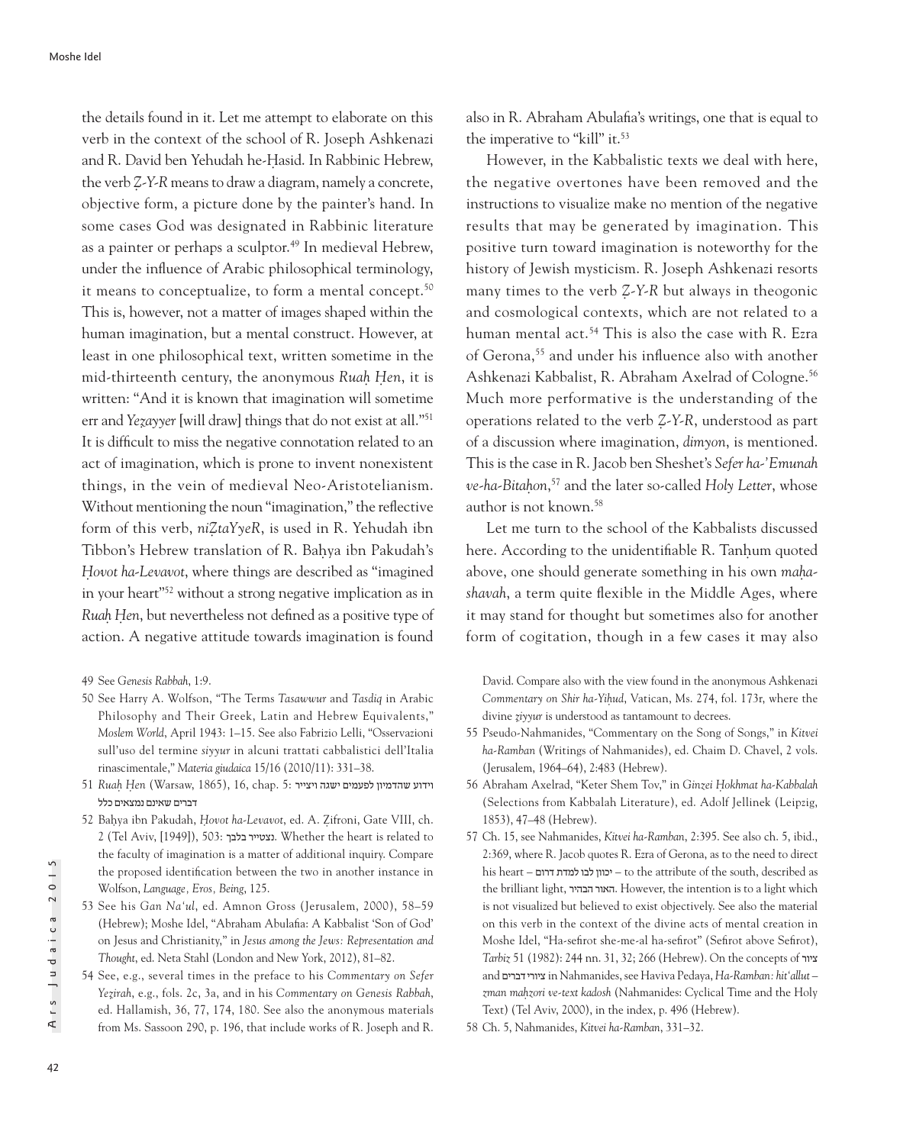the details found in it. Let me attempt to elaborate on this verb in the context of the school of R. Joseph Ashkenazi and R. David ben Yehudah he-Hasid. In Rabbinic Hebrew, the verb *Z*̣*-Y-R* means to draw a diagram, namely a concrete, objective form, a picture done by the painter's hand. In some cases God was designated in Rabbinic literature as a painter or perhaps a sculptor.<sup>49</sup> In medieval Hebrew, under the influence of Arabic philosophical terminology, it means to conceptualize, to form a mental concept.<sup>50</sup> This is, however, not a matter of images shaped within the human imagination, but a mental construct. However, at least in one philosophical text, written sometime in the mid-thirteenth century, the anonymous *Ruah*̣ *H*̣*en*, it is written: "And it is known that imagination will sometime err and *Yezayyer* [will draw] things that do not exist at all."<sup>51</sup> It is difficult to miss the negative connotation related to an act of imagination, which is prone to invent nonexistent things, in the vein of medieval Neo-Aristotelianism. Without mentioning the noun "imagination," the reflective form of this verb, *niZ*̣*taYyeR*, is used in R. Yehudah ibn Tibbon's Hebrew translation of R. Baḥya ibn Pakudah's *H*̣*ovot ha-Levavot*, where things are described as "imagined in your heart"52 without a strong negative implication as in *Ruah* Hen, but nevertheless not defined as a positive type of action. A negative attitude towards imagination is found

- 50 See Harry A. Wolfson, "The Terms *Tasawwur* and *Tasdiq* in Arabic Philosophy and Their Greek, Latin and Hebrew Equivalents," *Moslem World*, April 1943: 1–15. See also Fabrizio Lelli, "Osservazioni sull'uso del termine *siyyur* in alcuni trattati cabbalistici dell'Italia rinascimentale," *Materia giudaica* 15/16 (2010/11): 331–38.
- וידוע שהדמיון לפעמים ישגה ויצייר 5: .chap 16, ,)1865 ,Warsaw (*en*̣*H* ̣*Ruah* 51 דברים שאינם נמצאים כלל
- 52 Baḥya ibn Pakudah, *H*̣*ovot ha-Levavot*, ed. A. Ẓifroni, Gate VIII, ch. 2 (Tel Aviv, [1949]), 503: בלבך נצטייר. Whether the heart is related to the faculty of imagination is a matter of additional inquiry. Compare the proposed identification between the two in another instance in Wolfson, *Language, Eros, Being*, 125.
- 53 See his *Gan Na'ul*, ed. Amnon Gross (Jerusalem, 2000), 58–59 (Hebrew); Moshe Idel, "Abraham Abulafia: A Kabbalist 'Son of God' on Jesus and Christianity," in *Jesus among the Jews: Representation and Thought*, ed. Neta Stahl (London and New York, 2012), 81–82.
- 54 See, e.g., several times in the preface to his *Commentary on Sefer Yez*̣*irah*, e.g., fols. 2c, 3a, and in his *Commentary on Genesis Rabbah*, ed. Hallamish, 36, 77, 174, 180. See also the anonymous materials from Ms. Sassoon 290, p. 196, that include works of R. Joseph and R.

also in R. Abraham Abulafia's writings, one that is equal to the imperative to "kill" it.<sup>53</sup>

However, in the Kabbalistic texts we deal with here, the negative overtones have been removed and the instructions to visualize make no mention of the negative results that may be generated by imagination. This positive turn toward imagination is noteworthy for the history of Jewish mysticism. R. Joseph Ashkenazi resorts many times to the verb *Z*-*Y*-*R* but always in theogonic and cosmological contexts, which are not related to a human mental act.<sup>54</sup> This is also the case with R. Ezra of Gerona,55 and under his influence also with another Ashkenazi Kabbalist, R. Abraham Axelrad of Cologne.<sup>56</sup> Much more performative is the understanding of the operations related to the verb *Z*̣*-Y-R*, understood as part of a discussion where imagination, *dimyon*, is mentioned. This is the case in R. Jacob ben Sheshet's *Sefer ha-'Emunah ve-ha-Bitah*̣*on*, 57 and the later so-called *Holy Letter*, whose author is not known.58

Let me turn to the school of the Kabbalists discussed here. According to the unidentifiable R. Tanhum quoted above, one should generate something in his own *mahashavah*, a term quite flexible in the Middle Ages, where it may stand for thought but sometimes also for another form of cogitation, though in a few cases it may also

David. Compare also with the view found in the anonymous Ashkenazi *Commentary on Shir ha-Yih*̣*ud*, Vatican, Ms. 274, fol. 173r, where the divine *z*̣*iyyur* is understood as tantamount to decrees.

- 55 Pseudo-Nahmanides, "Commentary on the Song of Songs," in *Kitvei ha-Ramban* (Writings of Nahmanides), ed. Chaim D. Chavel, 2 vols. (Jerusalem, 1964–64), 2:483 (Hebrew).
- 56 Abraham Axelrad, "Keter Shem Tov," in *Ginzei H*̣*okhmat ha-Kabbalah* (Selections from Kabbalah Literature), ed. Adolf Jellinek (Leipzig, 1853), 47–48 (Hebrew).
- 57 Ch. 15, see Nahmanides, *Kitvei ha-Ramban*, 2:395. See also ch. 5, ibid., 2:369, where R. Jacob quotes R. Ezra of Gerona, as to the need to direct his heart – דרום למדת לבו יכוון – to the attribute of the south, described as the brilliant light, הבהיר האור. However, the intention is to a light which is not visualized but believed to exist objectively. See also the material on this verb in the context of the divine acts of mental creation in Moshe Idel, "Ha-sefirot she-me-al ha-sefirot" (Sefirot above Sefirot), *Tarbiz* 51 (1982): 244 nn. 31, 32; 266 (Hebrew). On the concepts of ציור and דברים ציורי in Nahmanides, see Haviva Pedaya, *Ha-Ramban: hit'allut – zman mah*̣*zori ve-text kadosh* (Nahmanides: Cyclical Time and the Holy Text) (Tel Aviv, 2000), in the index, p. 496 (Hebrew).
- 58 Ch. 5, Nahmanides, *Kitvei ha-Ramban*, 331–32.

<sup>49</sup> See *Genesis Rabbah*, 1:9.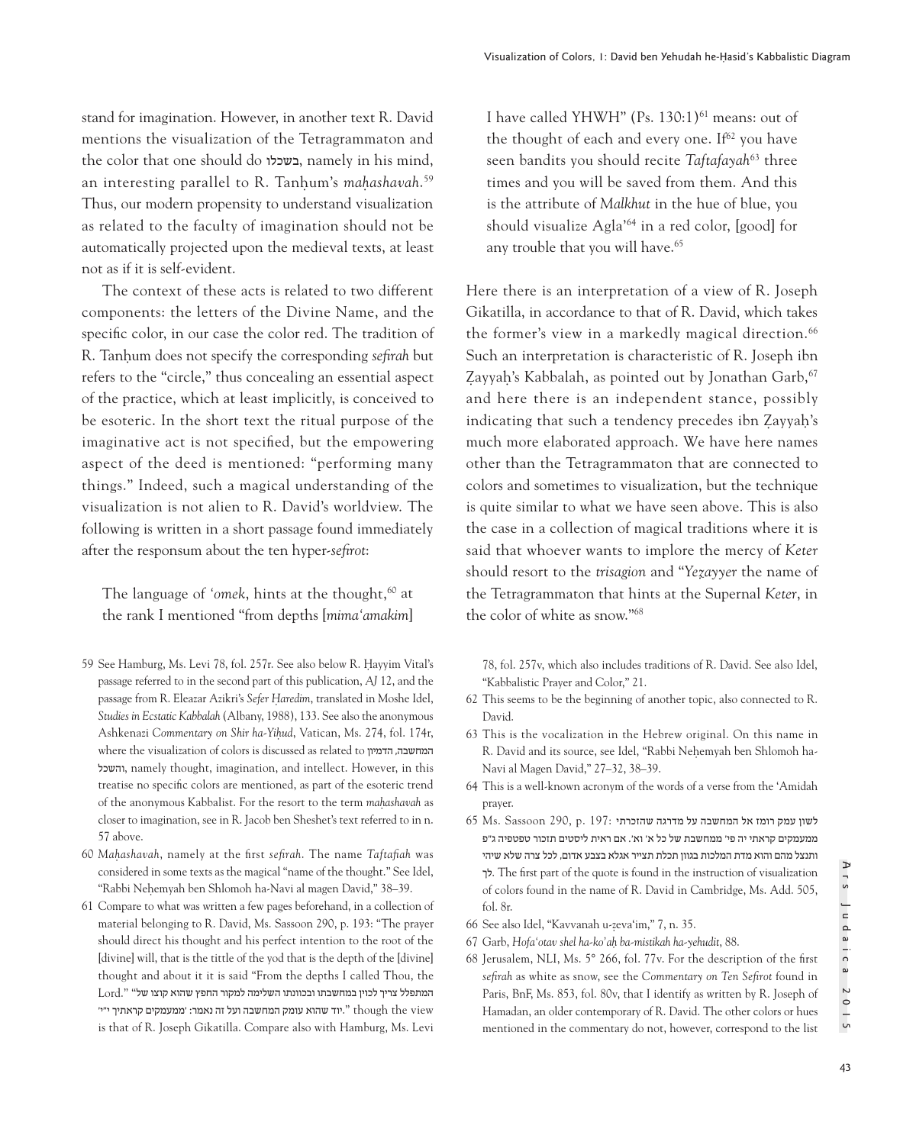stand for imagination. However, in another text R. David mentions the visualization of the Tetragrammaton and the color that one should do בשכלו, namely in his mind, an interesting parallel to R. Tanḥum's *mah*̣*ashavah*. 59 Thus, our modern propensity to understand visualization as related to the faculty of imagination should not be automatically projected upon the medieval texts, at least not as if it is self-evident.

The context of these acts is related to two different components: the letters of the Divine Name, and the specific color, in our case the color red. The tradition of R. Tanḥum does not specify the corresponding *sefirah* but refers to the "circle," thus concealing an essential aspect of the practice, which at least implicitly, is conceived to be esoteric. In the short text the ritual purpose of the imaginative act is not specified, but the empowering aspect of the deed is mentioned: "performing many things." Indeed, such a magical understanding of the visualization is not alien to R. David's worldview. The following is written in a short passage found immediately after the responsum about the ten hyper-*sefirot*:

The language of 'omek, hints at the thought,<sup>60</sup> at the rank I mentioned "from depths [*mima'amakim*]

- 59 See Hamburg, Ms. Levi 78, fol. 257r. See also below R. Hayyim Vital's passage referred to in the second part of this publication, *AJ* 12, and the passage from R. Eleazar Azikri's *Sefer H*̣*aredim*, translated in Moshe Idel, *Studies in Ecstatic Kabbalah* (Albany, 1988), 133. See also the anonymous Ashkenazi *Commentary on Shir ha-Yih*̣*ud*, Vatican, Ms. 274, fol. 174r, where the visualization of colors is discussed as related to הדמיון ,המחשבה והשכל, namely thought, imagination, and intellect. However, in this treatise no specific colors are mentioned, as part of the esoteric trend of the anonymous Kabbalist. For the resort to the term *mah*̣*ashavah* as closer to imagination, see in R. Jacob ben Sheshet's text referred to in n. 57 above.
- 60 *Mah*̣*ashavah*, namely at the first *sefirah*. The name *Taftafiah* was considered in some texts as the magical "name of the thought." See Idel, "Rabbi Neḥemyah ben Shlomoh ha-Navi al magen David," 38–39.
- 61 Compare to what was written a few pages beforehand, in a collection of material belonging to R. David, Ms. Sassoon 290, p. 193: "The prayer should direct his thought and his perfect intention to the root of the [divine] will, that is the tittle of the yod that is the depth of the [divine] thought and about it it is said "From the depths I called Thou, the המתפלל צריך לכוין במחשבתו ובכוונתו השלימה למקור החפץ שהוא קוצו של" ".Lord יוד שהוא עומק המחשבה ועל זה נאמר: 'ממעמקים קראתיך י"י'. '' though the view is that of R. Joseph Gikatilla. Compare also with Hamburg, Ms. Levi

I have called YHWH" (Ps. 130:1)<sup>61</sup> means: out of the thought of each and every one. If<sup>62</sup> you have seen bandits you should recite *Taftafayah*<sup>63</sup> three times and you will be saved from them. And this is the attribute of *Malkhut* in the hue of blue, you should visualize Agla'64 in a red color, [good] for any trouble that you will have.<sup>65</sup>

Here there is an interpretation of a view of R. Joseph Gikatilla, in accordance to that of R. David, which takes the former's view in a markedly magical direction.<sup>66</sup> Such an interpretation is characteristic of R. Joseph ibn Zayyah's Kabbalah, as pointed out by Jonathan Garb,<sup>67</sup> and here there is an independent stance, possibly indicating that such a tendency precedes ibn Zayyah's much more elaborated approach. We have here names other than the Tetragrammaton that are connected to colors and sometimes to visualization, but the technique is quite similar to what we have seen above. This is also the case in a collection of magical traditions where it is said that whoever wants to implore the mercy of *Keter* should resort to the *trisagion* and "*Yeẓayyer* the name of the Tetragrammaton that hints at the Supernal *Keter*, in the color of white as snow."68

78, fol. 257v, which also includes traditions of R. David. See also Idel, "Kabbalistic Prayer and Color," 21.

- 62 This seems to be the beginning of another topic, also connected to R. David.
- 63 This is the vocalization in the Hebrew original. On this name in R. David and its source, see Idel, "Rabbi Nehemyah ben Shlomoh ha-Navi al Magen David," 27–32, 38–39.
- 64 This is a well-known acronym of the words of a verse from the 'Amidah prayer.
- לשון עמק רומז אל המחשבה על מדרגה שהזכרתי 197: .b 290, p. 197: לשון עמק ממעמקים קראתי יה פי' ממחשבת של כל א' וא'. אם ראית ליסטים תזכור טפטפיה ג"פ ותנצל מהם והוא מדת המלכות בגוון תכלת תצייר אגלא בצבע אדום, לכל צרה שלא שיהי לך. The first part of the quote is found in the instruction of visualization of colors found in the name of R. David in Cambridge, Ms. Add. 505, fol. 8r.
- 66 See also Idel, "Kavvanah u-zeva'im," 7, n. 35. ̣
- 67 Garb, *Hofa'otav shel ha-ko'ah*̣ *ba-mistikah ha-yehudit*, 88.
- 68 Jerusalem, NLI, Ms. 5° 266, fol. 77v. For the description of the first *sefirah* as white as snow, see the *Commentary on Ten Sefirot* found in Paris, BnF, Ms. 853, fol. 80v, that I identify as written by R. Joseph of Hamadan, an older contemporary of R. David. The other colors or hues mentioned in the commentary do not, however, correspond to the list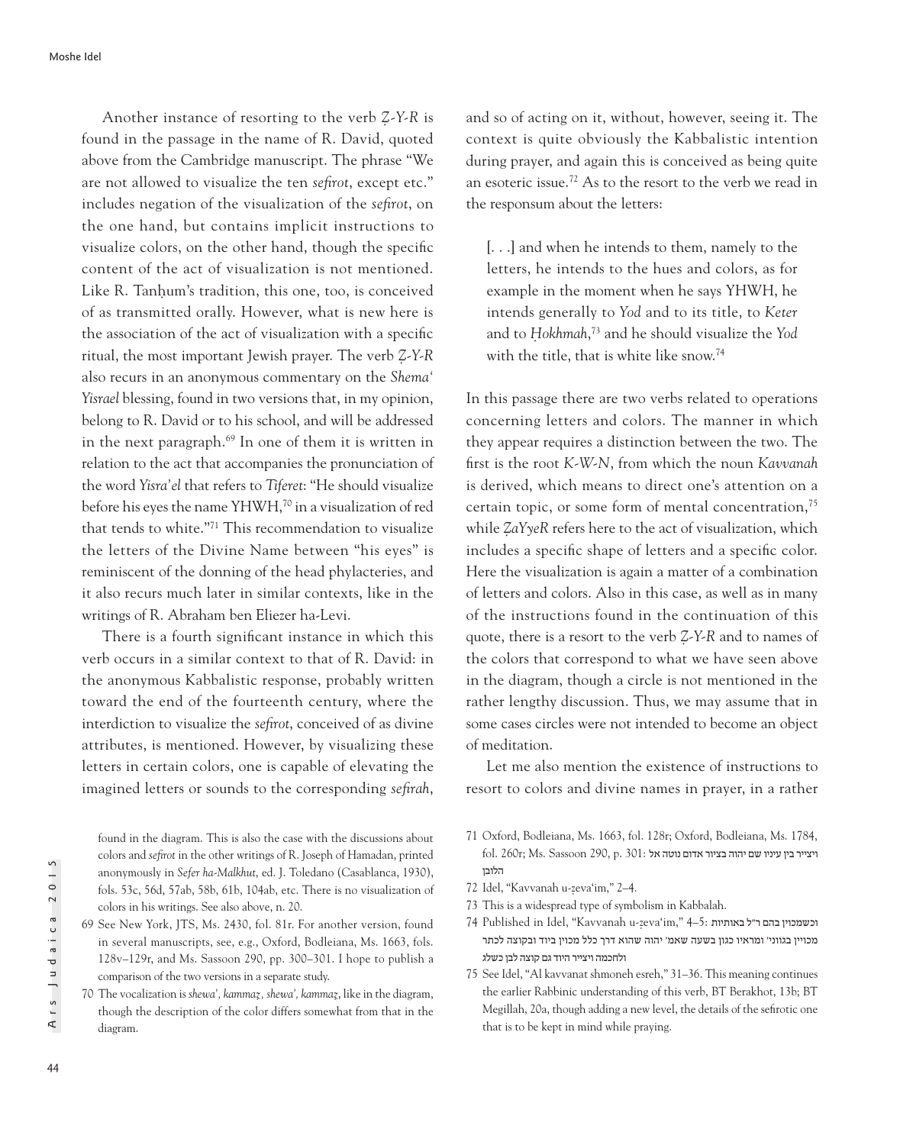Another instance of resorting to the verb *Ẓ-Y-R* is found in the passage in the name of R. David, quoted above from the Cambridge manuscript. The phrase "We are not allowed to visualize the ten *sefirot*, except etc." includes negation of the visualization of the *sefirot*, on the one hand, but contains implicit instructions to visualize colors, on the other hand, though the specific content of the act of visualization is not mentioned. Like R. Tanhum's tradition, this one, too, is conceived of as transmitted orally. However, what is new here is the association of the act of visualization with a specific ritual, the most important Jewish prayer. The verb *Ẓ-Y-R* also recurs in an anonymous commentary on the *Shema' Yisrael* blessing, found in two versions that, in my opinion, belong to R. David or to his school, and will be addressed in the next paragraph.69 In one of them it is written in relation to the act that accompanies the pronunciation of the word *Yisra'el* that refers to *Tiferet*: "He should visualize before his eyes the name YHWH,<sup>70</sup> in a visualization of red that tends to white."71 This recommendation to visualize the letters of the Divine Name between "his eyes" is reminiscent of the donning of the head phylacteries, and it also recurs much later in similar contexts, like in the writings of R. Abraham ben Eliezer ha-Levi.

There is a fourth significant instance in which this verb occurs in a similar context to that of R. David: in the anonymous Kabbalistic response, probably written toward the end of the fourteenth century, where the interdiction to visualize the *sefirot*, conceived of as divine attributes, is mentioned. However, by visualizing these letters in certain colors, one is capable of elevating the imagined letters or sounds to the corresponding *sefirah*,

found in the diagram. This is also the case with the discussions about colors and *sefirot* in the other writings of R. Joseph of Hamadan, printed anonymously in *Sefer ha-Malkhut*, ed. J. Toledano (Casablanca, 1930), fols. 53c, 56d, 57ab, 58b, 61b, 104ab, etc. There is no visualization of colors in his writings. See also above, n. 20.

and so of acting on it, without, however, seeing it. The context is quite obviously the Kabbalistic intention during prayer, and again this is conceived as being quite an esoteric issue.72 As to the resort to the verb we read in the responsum about the letters:

[. . .] and when he intends to them, namely to the letters, he intends to the hues and colors, as for example in the moment when he says YHWH, he intends generally to *Yod* and to its title, to *Keter* and to *Ḥokhmah*, 73 and he should visualize the *Yod*  with the title, that is white like snow.<sup>74</sup>

In this passage there are two verbs related to operations concerning letters and colors. The manner in which they appear requires a distinction between the two. The first is the root *K-W-N*, from which the noun *Kavvanah* is derived, which means to direct one's attention on a certain topic, or some form of mental concentration,75 while *ẒaYyeR* refers here to the act of visualization, which includes a specific shape of letters and a specific color. Here the visualization is again a matter of a combination of letters and colors. Also in this case, as well as in many of the instructions found in the continuation of this quote, there is a resort to the verb *Ẓ-Y-R* and to names of the colors that correspond to what we have seen above in the diagram, though a circle is not mentioned in the rather lengthy discussion. Thus, we may assume that in some cases circles were not intended to become an object of meditation.

Let me also mention the existence of instructions to resort to colors and divine names in prayer, in a rather

- 71 Oxford, Bodleiana, Ms. 1663, fol. 128r; Oxford, Bodleiana, Ms. 1784,  $f$ ויצייר בין עיניו שם יהוה בציור אדום נוטה אל 301: היצייר היהוה בציור אדום נוטה אל הלובן
- 72 Idel, "Kavvanah u-zeva'im," 2-4.
- 73 This is a widespread type of symbolism in Kabbalah.
- 74 Published in Idel, "Kavvanah u-ẓ וכשמכוין בהם ר"ל באותיות 5:–4 ",im'eva מכויין בגווני' ומראיו כגון בשעה שאמ' יהוה שהוא דרך כלל מכוין ביוד ובקוצה לכתר ולחכמה ויצייר היוד גם קוצה לבן כשלג
- 75 See Idel, "Al kavvanat shmoneh esreh," 31–36. This meaning continues the earlier Rabbinic understanding of this verb, BT Berakhot, 13b; BT Megillah, 20a, though adding a new level, the details of the sefirotic one that is to be kept in mind while praying.

<sup>69</sup> See New York, JTS, Ms. 2430, fol. 81r. For another version, found in several manuscripts, see, e.g., Oxford, Bodleiana, Ms. 1663, fols. 128v–129r, and Ms. Sassoon 290, pp. 300–301. I hope to publish a comparison of the two versions in a separate study.

<sup>70</sup> The vocalization is *shewa', kammaz*̣*, shewa', kammaz*̣, like in the diagram, though the description of the color differs somewhat from that in the diagram.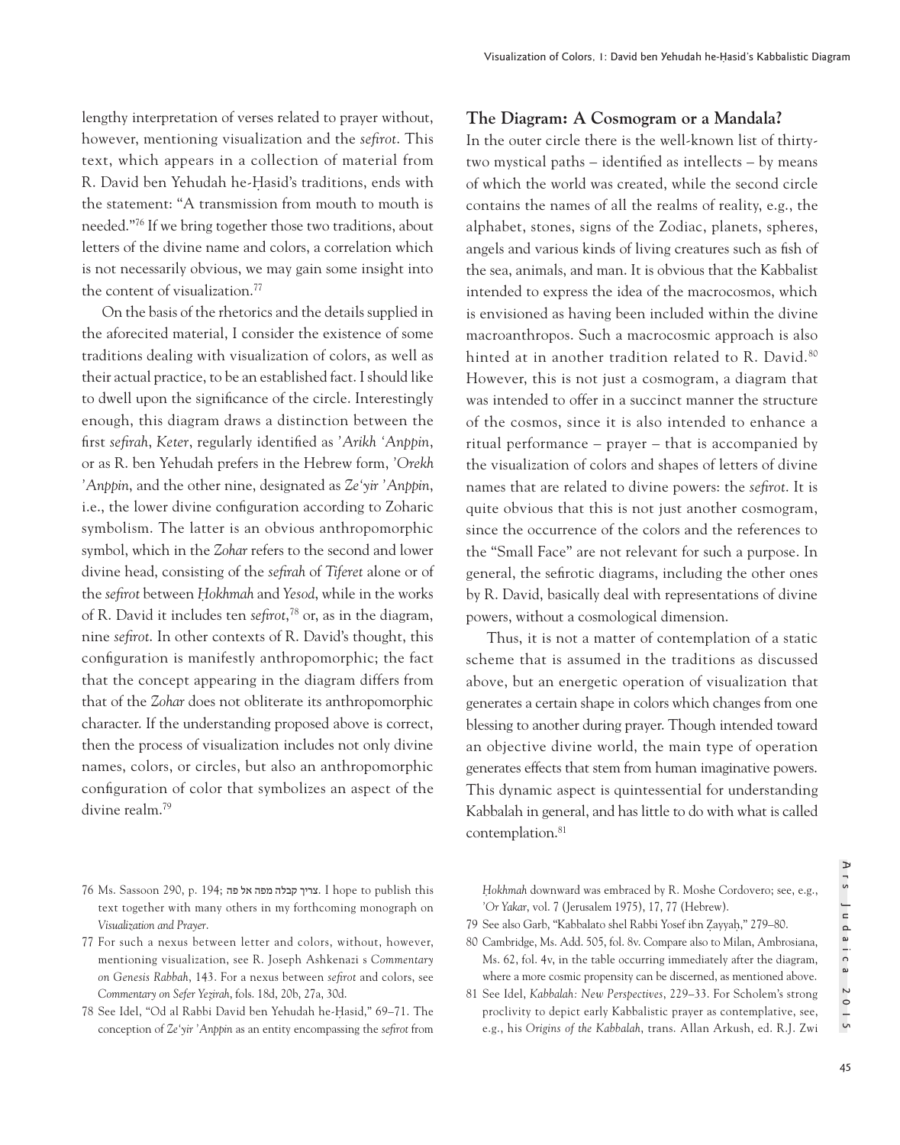lengthy interpretation of verses related to prayer without, however, mentioning visualization and the *sefirot*. This text, which appears in a collection of material from R. David ben Yehudah he-Hasid's traditions, ends with the statement: "A transmission from mouth to mouth is needed."76 If we bring together those two traditions, about letters of the divine name and colors, a correlation which is not necessarily obvious, we may gain some insight into the content of visualization.<sup>77</sup>

On the basis of the rhetorics and the details supplied in the aforecited material, I consider the existence of some traditions dealing with visualization of colors, as well as their actual practice, to be an established fact. I should like to dwell upon the significance of the circle. Interestingly enough, this diagram draws a distinction between the first *sefirah*, *Keter*, regularly identified as *'Arikh 'Anppin*, or as R. ben Yehudah prefers in the Hebrew form, *'Orekh 'Anppin*, and the other nine, designated as *Ze'yir 'Anppin*, i.e., the lower divine configuration according to Zoharic symbolism. The latter is an obvious anthropomorphic symbol, which in the *Zohar* refers to the second and lower divine head, consisting of the *sefirah* of *Tiferet* alone or of the *sefirot* between *Ḥokhmah* and *Yesod*, while in the works of R. David it includes ten *sefirot*, 78 or, as in the diagram, nine *sefirot*. In other contexts of R. David's thought, this configuration is manifestly anthropomorphic; the fact that the concept appearing in the diagram differs from that of the *Zohar* does not obliterate its anthropomorphic character. If the understanding proposed above is correct, then the process of visualization includes not only divine names, colors, or circles, but also an anthropomorphic configuration of color that symbolizes an aspect of the divine realm.79

- 76 Ms. Sassoon 290, p. 194; פה אל מפה קבלה צריך. I hope to publish this text together with many others in my forthcoming monograph on *Visualization and Prayer*.
- 77 For such a nexus between letter and colors, without, however, mentioning visualization, see R. Joseph Ashkenazi s *Commentary on Genesis Rabbah*, 143. For a nexus between *sefirot* and colors, see *Commentary on Sefer Yez*̣*irah*, fols. 18d, 20b, 27a, 30d.
- 78 See Idel, "Od al Rabbi David ben Yehudah he-Hasid," 69–71. The conception of *Ze'yir 'Anppin* as an entity encompassing the *sefirot* from

## **The Diagram: A Cosmogram or a Mandala?**

In the outer circle there is the well-known list of thirtytwo mystical paths – identified as intellects – by means of which the world was created, while the second circle contains the names of all the realms of reality, e.g., the alphabet, stones, signs of the Zodiac, planets, spheres, angels and various kinds of living creatures such as fish of the sea, animals, and man. It is obvious that the Kabbalist intended to express the idea of the macrocosmos, which is envisioned as having been included within the divine macroanthropos. Such a macrocosmic approach is also hinted at in another tradition related to R. David.<sup>80</sup> However, this is not just a cosmogram, a diagram that was intended to offer in a succinct manner the structure of the cosmos, since it is also intended to enhance a ritual performance – prayer – that is accompanied by the visualization of colors and shapes of letters of divine names that are related to divine powers: the *sefirot*. It is quite obvious that this is not just another cosmogram, since the occurrence of the colors and the references to the "Small Face" are not relevant for such a purpose. In general, the sefirotic diagrams, including the other ones by R. David, basically deal with representations of divine powers, without a cosmological dimension.

Thus, it is not a matter of contemplation of a static scheme that is assumed in the traditions as discussed above, but an energetic operation of visualization that generates a certain shape in colors which changes from one blessing to another during prayer. Though intended toward an objective divine world, the main type of operation generates effects that stem from human imaginative powers. This dynamic aspect is quintessential for understanding Kabbalah in general, and has little to do with what is called contemplation.<sup>81</sup>

*Ḥokhmah* downward was embraced by R. Moshe Cordovero; see, e.g., *'Or Yakar*, vol. 7 (Jerusalem 1975), 17, 77 (Hebrew).

- 79 See also Garb, "Kabbalato shel Rabbi Yosef ibn Ẓ ayyaḥ," 279–80.
- 80 Cambridge, Ms. Add. 505, fol. 8v. Compare also to Milan, Ambrosiana, Ms. 62, fol. 4v, in the table occurring immediately after the diagram, where a more cosmic propensity can be discerned, as mentioned above.
- 81 See Idel, *Kabbalah: New Perspectives*, 229–33. For Scholem's strong proclivity to depict early Kabbalistic prayer as contemplative, see, e.g., his *Origins of the Kabbalah*, trans. Allan Arkush, ed. R.J. Zwi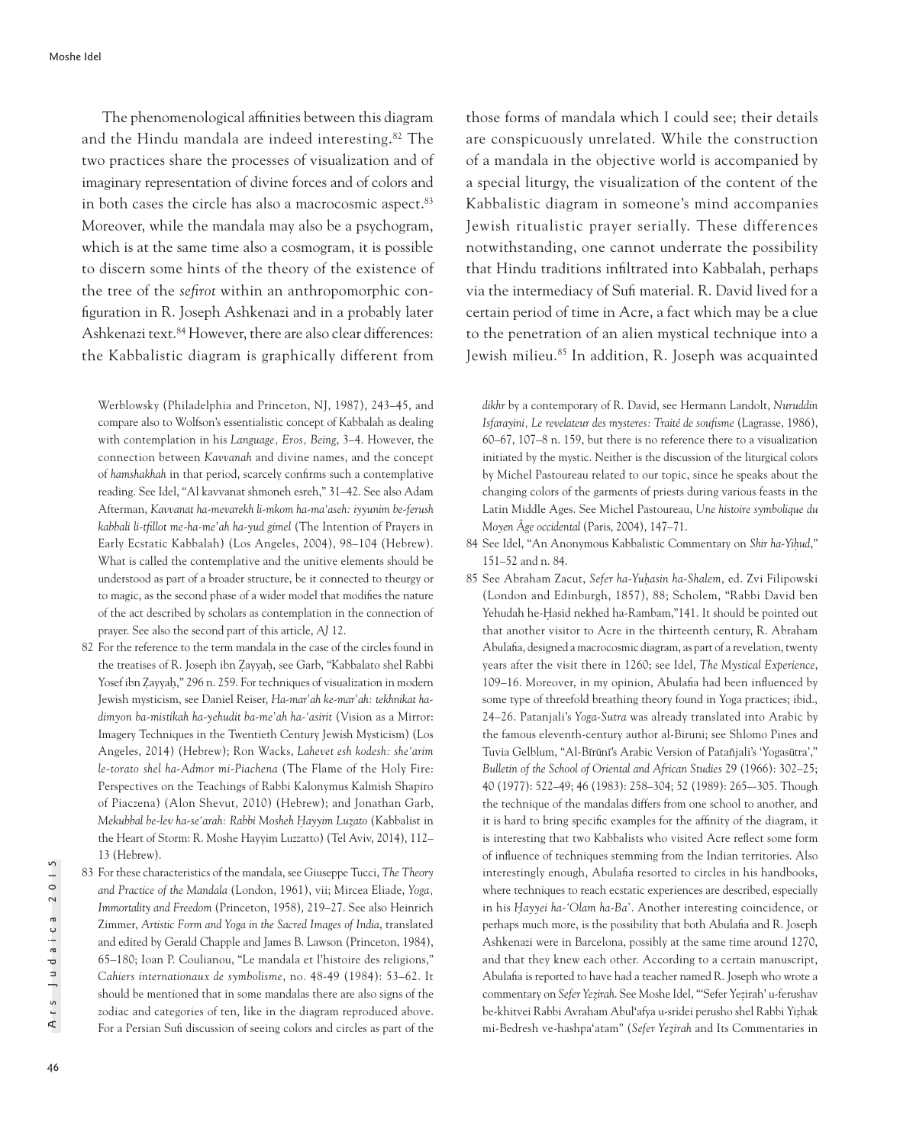The phenomenological affinities between this diagram and the Hindu mandala are indeed interesting.82 The two practices share the processes of visualization and of imaginary representation of divine forces and of colors and in both cases the circle has also a macrocosmic aspect.<sup>83</sup> Moreover, while the mandala may also be a psychogram, which is at the same time also a cosmogram, it is possible to discern some hints of the theory of the existence of the tree of the *sefirot* within an anthropomorphic configuration in R. Joseph Ashkenazi and in a probably later Ashkenazi text.<sup>84</sup> However, there are also clear differences: the Kabbalistic diagram is graphically different from

Werblowsky (Philadelphia and Princeton, NJ, 1987), 243–45, and compare also to Wolfson's essentialistic concept of Kabbalah as dealing with contemplation in his *Language, Eros, Being*, 3–4. However, the connection between *Kavvanah* and divine names, and the concept of *hamshakhah* in that period, scarcely confirms such a contemplative reading. See Idel, "Al kavvanat shmoneh esreh," 31–42. See also Adam Afterman, *Kavvanat ha-mevarekh li-mkom ha-ma'aseh: iyyunim be-ferush kabbali li-tfillot me-ha-me'ah ha-yud gimel* (The Intention of Prayers in Early Ecstatic Kabbalah) (Los Angeles, 2004), 98–104 (Hebrew). What is called the contemplative and the unitive elements should be understood as part of a broader structure, be it connected to theurgy or to magic, as the second phase of a wider model that modifies the nature of the act described by scholars as contemplation in the connection of prayer. See also the second part of this article, *AJ* 12.

82 For the reference to the term mandala in the case of the circles found in the treatises of R. Joseph ibn Zayyah, see Garb, "Kabbalato shel Rabbi Yosef ibn Zayyah," 296 n. 259. For techniques of visualization in modern Jewish mysticism, see Daniel Reiser, *Ha-mar'ah ke-mar'ah: tekhnikat hadimyon ba-mistikah ha-yehudit ba-me'ah ha-'asirit* (Vision as a Mirror: Imagery Techniques in the Twentieth Century Jewish Mysticism) (Los Angeles, 2014) (Hebrew); Ron Wacks, *Lahevet esh kodesh: she'arim le-torato shel ha-Admor mi-Piachena* (The Flame of the Holy Fire: Perspectives on the Teachings of Rabbi Kalonymus Kalmish Shapiro of Piaczena) (Alon Shevut, 2010) (Hebrew); and Jonathan Garb, *Mekubbal be-lev ha-se'arah: Rabbi Mosheh H*̣*ayyim Luz*̣*ato* (Kabbalist in the Heart of Storm: R. Moshe Hayyim Luzzatto) (Tel Aviv, 2014), 112– 13 (Hebrew).

83 For these characteristics of the mandala, see Giuseppe Tucci, *The Theory and Practice of the Mandala* (London, 1961), vii; Mircea Eliade, *Yoga, Immortality and Freedom* (Princeton, 1958), 219–27. See also Heinrich Zimmer, *Artistic Form and Yoga in the Sacred Images of India*, translated and edited by Gerald Chapple and James B. Lawson (Princeton, 1984), 65–180; Ioan P. Coulianou, "Le mandala et l'histoire des religions," *Cahiers internationaux de symbolisme*, no. 48-49 (1984): 53–62. It should be mentioned that in some mandalas there are also signs of the zodiac and categories of ten, like in the diagram reproduced above. For a Persian Sufi discussion of seeing colors and circles as part of the those forms of mandala which I could see; their details are conspicuously unrelated. While the construction of a mandala in the objective world is accompanied by a special liturgy, the visualization of the content of the Kabbalistic diagram in someone's mind accompanies Jewish ritualistic prayer serially. These differences notwithstanding, one cannot underrate the possibility that Hindu traditions infiltrated into Kabbalah, perhaps via the intermediacy of Sufi material. R. David lived for a certain period of time in Acre, a fact which may be a clue to the penetration of an alien mystical technique into a Jewish milieu.85 In addition, R. Joseph was acquainted

*dikhr* by a contemporary of R. David, see Hermann Landolt, *Nuruddin Isfarayini, Le revelateur des mysteres: Traité de soufisme* (Lagrasse, 1986), 60–67, 107–8 n. 159, but there is no reference there to a visualization initiated by the mystic. Neither is the discussion of the liturgical colors by Michel Pastoureau related to our topic, since he speaks about the changing colors of the garments of priests during various feasts in the Latin Middle Ages. See Michel Pastoureau, *Une histoire symbolique du Moyen Âge occidental* (Paris, 2004), 147–71.

- 84 See Idel, "An Anonymous Kabbalistic Commentary on *Shir ha-Yih*̣*ud*," 151–52 and n. 84.
- 85 See Abraham Zacut, *Sefer ha-Yuh*̣*asin ha-Shalem*, ed. Zvi Filipowski (London and Edinburgh, 1857), 88; Scholem, "Rabbi David ben Yehudah he-Hasid nekhed ha-Rambam,"141. It should be pointed out that another visitor to Acre in the thirteenth century, R. Abraham Abulafia, designed a macrocosmic diagram, as part of a revelation, twenty years after the visit there in 1260; see Idel, *The Mystical Experience*, 109–16. Moreover, in my opinion, Abulafia had been influenced by some type of threefold breathing theory found in Yoga practices; ibid., 24–26. Patanjali's *Yoga-Sutra* was already translated into Arabic by the famous eleventh-century author al-Biruni; see Shlomo Pines and Tuvia Gelblum, "Al-Bīrūnī's Arabic Version of Patañjali's 'Yogasūtra'," *Bulletin of the School of Oriental and African Studies* 29 (1966): 302–25; 40 (1977): 522–49; 46 (1983): 258–304; 52 (1989): 265–-305. Though the technique of the mandalas differs from one school to another, and it is hard to bring specific examples for the affinity of the diagram, it is interesting that two Kabbalists who visited Acre reflect some form of influence of techniques stemming from the Indian territories. Also interestingly enough, Abulafia resorted to circles in his handbooks, where techniques to reach ecstatic experiences are described, especially in his *H*̣*ayyei ha-'Olam ha-Ba'*. Another interesting coincidence, or perhaps much more, is the possibility that both Abulafia and R. Joseph Ashkenazi were in Barcelona, possibly at the same time around 1270, and that they knew each other. According to a certain manuscript, Abulafia is reported to have had a teacher named R. Joseph who wrote a commentary on *Sefer Yez*̣*irah*. See Moshe Idel, "'Sefer Yezirah' u-ferushav ̣ be-khitvei Rabbi Avraham Abul'afya u-sridei perusho shel Rabbi Yizhak ̣ mi-Bedresh ve-hashpa'atam" (*Sefer Yez*̣*irah* and Its Commentaries in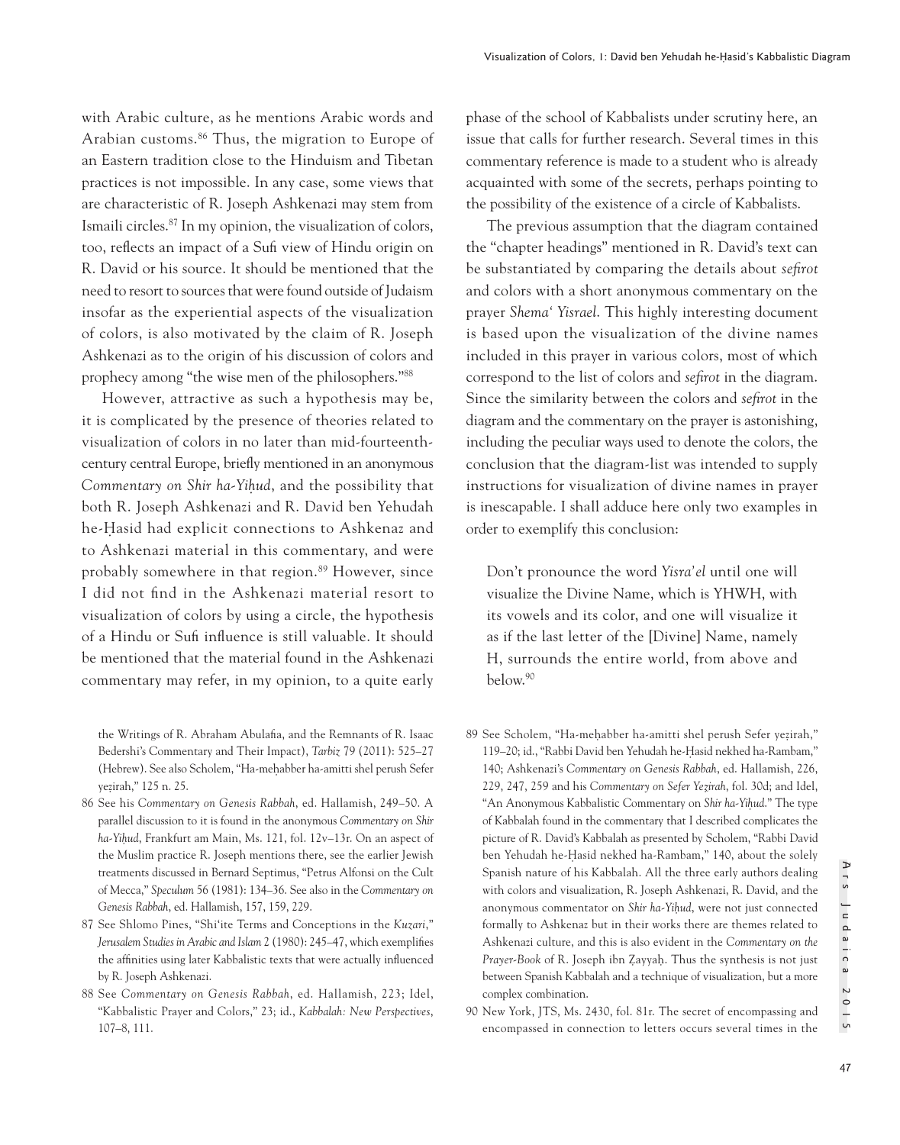with Arabic culture, as he mentions Arabic words and Arabian customs.86 Thus, the migration to Europe of an Eastern tradition close to the Hinduism and Tibetan practices is not impossible. In any case, some views that are characteristic of R. Joseph Ashkenazi may stem from Ismaili circles.87 In my opinion, the visualization of colors, too, reflects an impact of a Sufi view of Hindu origin on R. David or his source. It should be mentioned that the need to resort to sources that were found outside of Judaism insofar as the experiential aspects of the visualization of colors, is also motivated by the claim of R. Joseph Ashkenazi as to the origin of his discussion of colors and prophecy among "the wise men of the philosophers."88

However, attractive as such a hypothesis may be, it is complicated by the presence of theories related to visualization of colors in no later than mid-fourteenthcentury central Europe, briefly mentioned in an anonymous *Commentary on Shir ha-Yih*̣*ud*, and the possibility that both R. Joseph Ashkenazi and R. David ben Yehudah he-Hasid had explicit connections to Ashkenaz and to Ashkenazi material in this commentary, and were probably somewhere in that region.89 However, since I did not find in the Ashkenazi material resort to visualization of colors by using a circle, the hypothesis of a Hindu or Sufi influence is still valuable. It should be mentioned that the material found in the Ashkenazi commentary may refer, in my opinion, to a quite early phase of the school of Kabbalists under scrutiny here, an issue that calls for further research. Several times in this commentary reference is made to a student who is already acquainted with some of the secrets, perhaps pointing to the possibility of the existence of a circle of Kabbalists.

The previous assumption that the diagram contained the "chapter headings" mentioned in R. David's text can be substantiated by comparing the details about *sefirot* and colors with a short anonymous commentary on the prayer *Shema' Yisrael*. This highly interesting document is based upon the visualization of the divine names included in this prayer in various colors, most of which correspond to the list of colors and *sefirot* in the diagram. Since the similarity between the colors and *sefirot* in the diagram and the commentary on the prayer is astonishing, including the peculiar ways used to denote the colors, the conclusion that the diagram-list was intended to supply instructions for visualization of divine names in prayer is inescapable. I shall adduce here only two examples in order to exemplify this conclusion:

Don't pronounce the word *Yisra'el* until one will visualize the Divine Name, which is YHWH, with its vowels and its color, and one will visualize it as if the last letter of the [Divine] Name, namely H, surrounds the entire world, from above and below.90

- 89 See Scholem, "Ha-meḥabber ha-amitti shel perush Sefer yeẓ irah," 119–20; id., "Rabbi David ben Yehudah he-Hasid nekhed ha-Rambam," 140; Ashkenazi's *Commentary on Genesis Rabbah*, ed. Hallamish, 226, 229, 247, 259 and his *Commentary on Sefer Yez*̣*irah*, fol. 30d; and Idel, "An Anonymous Kabbalistic Commentary on *Shir ha-Yih*̣*ud*." The type of Kabbalah found in the commentary that I described complicates the picture of R. David's Kabbalah as presented by Scholem, "Rabbi David ben Yehudah he-Hasid nekhed ha-Rambam," 140, about the solely Spanish nature of his Kabbalah. All the three early authors dealing with colors and visualization, R. Joseph Ashkenazi, R. David, and the anonymous commentator on *Shir ha-Yih*̣*ud*, were not just connected formally to Ashkenaz but in their works there are themes related to Ashkenazi culture, and this is also evident in the *Commentary on the Prayer-Book* of R. Joseph ibn Ẓayyaḥ. Thus the synthesis is not just between Spanish Kabbalah and a technique of visualization, but a more complex combination.
- 90 New York, JTS, Ms. 2430, fol. 81r. The secret of encompassing and encompassed in connection to letters occurs several times in the

the Writings of R. Abraham Abulafia, and the Remnants of R. Isaac Bedershi's Commentary and Their Impact), *Tarbiz* 79 (2011): 525–27 (Hebrew). See also Scholem, "Ha-meḥabber ha-amitti shel perush Sefer yezirah," 125 n. 25. ̣

<sup>86</sup> See his *Commentary on Genesis Rabbah*, ed. Hallamish, 249–50. A parallel discussion to it is found in the anonymous *Commentary on Shir ha-Yih*̣*ud*, Frankfurt am Main, Ms. 121, fol. 12v–13r. On an aspect of the Muslim practice R. Joseph mentions there, see the earlier Jewish treatments discussed in Bernard Septimus, "Petrus Alfonsi on the Cult of Mecca," *Speculum* 56 (1981): 134–36. See also in the *Commentary on Genesis Rabbah*, ed. Hallamish, 157, 159, 229.

<sup>87</sup> See Shlomo Pines, "Shi'ite Terms and Conceptions in the *Kuzari*," *Jerusalem Studies in Arabic and Islam* 2 (1980): 245–47, which exemplifies the affinities using later Kabbalistic texts that were actually influenced by R. Joseph Ashkenazi.

<sup>88</sup> See *Commentary on Genesis Rabbah*, ed. Hallamish, 223; Idel, "Kabbalistic Prayer and Colors," 23; id., *Kabbalah: New Perspectives*, 107–8, 111.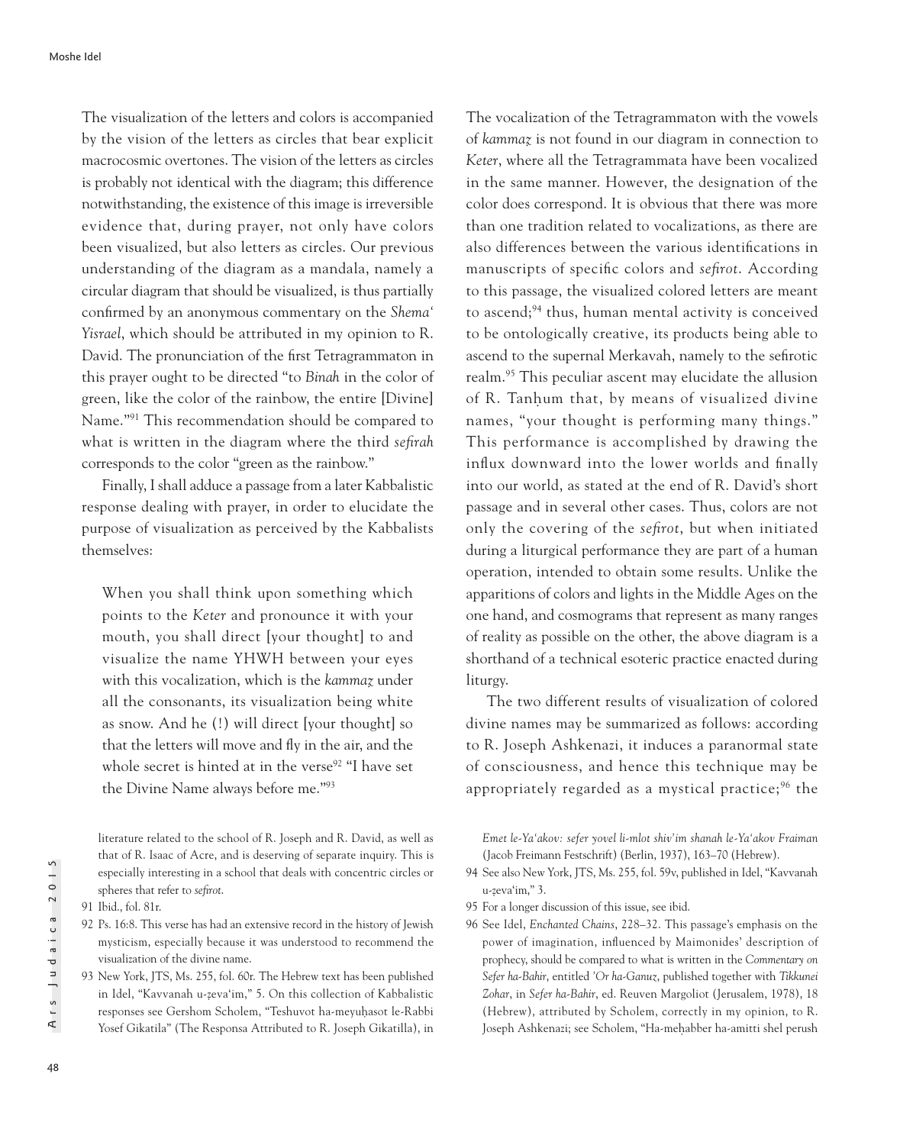The visualization of the letters and colors is accompanied by the vision of the letters as circles that bear explicit macrocosmic overtones. The vision of the letters as circles is probably not identical with the diagram; this difference notwithstanding, the existence of this image is irreversible evidence that, during prayer, not only have colors been visualized, but also letters as circles. Our previous understanding of the diagram as a mandala, namely a circular diagram that should be visualized, is thus partially confirmed by an anonymous commentary on the *Shema' Yisrael*, which should be attributed in my opinion to R. David. The pronunciation of the first Tetragrammaton in this prayer ought to be directed "to *Binah* in the color of green, like the color of the rainbow, the entire [Divine] Name."91 This recommendation should be compared to what is written in the diagram where the third *sefirah* corresponds to the color "green as the rainbow."

Finally, I shall adduce a passage from a later Kabbalistic response dealing with prayer, in order to elucidate the purpose of visualization as perceived by the Kabbalists themselves:

When you shall think upon something which points to the *Keter* and pronounce it with your mouth, you shall direct [your thought] to and visualize the name YHWH between your eyes with this vocalization, which is the *kammaẓ* under all the consonants, its visualization being white as snow. And he (!) will direct [your thought] so that the letters will move and fly in the air, and the whole secret is hinted at in the verse<sup>92</sup> "I have set the Divine Name always before me."93

The vocalization of the Tetragrammaton with the vowels of *kammaẓ* is not found in our diagram in connection to *Keter*, where all the Tetragrammata have been vocalized in the same manner. However, the designation of the color does correspond. It is obvious that there was more than one tradition related to vocalizations, as there are also differences between the various identifications in manuscripts of specific colors and *sefirot*. According to this passage, the visualized colored letters are meant to ascend;<sup>94</sup> thus, human mental activity is conceived to be ontologically creative, its products being able to ascend to the supernal Merkavah, namely to the sefirotic realm.95 This peculiar ascent may elucidate the allusion of R. Tanḥum that, by means of visualized divine names, "your thought is performing many things." This performance is accomplished by drawing the influx downward into the lower worlds and finally into our world, as stated at the end of R. David's short passage and in several other cases. Thus, colors are not only the covering of the *sefirot*, but when initiated during a liturgical performance they are part of a human operation, intended to obtain some results. Unlike the apparitions of colors and lights in the Middle Ages on the one hand, and cosmograms that represent as many ranges of reality as possible on the other, the above diagram is a shorthand of a technical esoteric practice enacted during liturgy.

The two different results of visualization of colored divine names may be summarized as follows: according to R. Joseph Ashkenazi, it induces a paranormal state of consciousness, and hence this technique may be appropriately regarded as a mystical practice; $96$  the

*Emet le-Ya'akov: sefer yovel li-mlot shiv'im shanah le-Ya'akov Fraiman* (Jacob Freimann Festschrift) (Berlin, 1937), 163–70 (Hebrew).

96 See Idel, *Enchanted Chains*, 228–32. This passage's emphasis on the power of imagination, influenced by Maimonides' description of prophecy, should be compared to what is written in the *Commentary on Sefer ha-Bahir*, entitled *'Or ha-Ganuz*, published together with *Tikkunei Zohar*, in *Sefer ha-Bahir*, ed. Reuven Margoliot (Jerusalem, 1978), 18 (Hebrew), attributed by Scholem, correctly in my opinion, to R. Joseph Ashkenazi; see Scholem, "Ha-meḥabber ha-amitti shel perush

literature related to the school of R. Joseph and R. David, as well as that of R. Isaac of Acre, and is deserving of separate inquiry. This is especially interesting in a school that deals with concentric circles or spheres that refer to *sefirot*.

<sup>91</sup> Ibid., fol. 81r.

<sup>92</sup> Ps. 16:8. This verse has had an extensive record in the history of Jewish mysticism, especially because it was understood to recommend the visualization of the divine name.

<sup>93</sup> New York, JTS, Ms. 255, fol. 60r. The Hebrew text has been published in Idel, "Kavvanah u-ẓ eva'im," 5. On this collection of Kabbalistic responses see Gershom Scholem, "Teshuvot ha-meyuhasot le-Rabbi Yosef Gikatila" (The Responsa Attributed to R. Joseph Gikatilla), in

<sup>94</sup> See also New York, JTS, Ms. 255, fol. 59v, published in Idel, "Kavvanah u-zeva'im," 3.

<sup>95</sup> For a longer discussion of this issue, see ibid.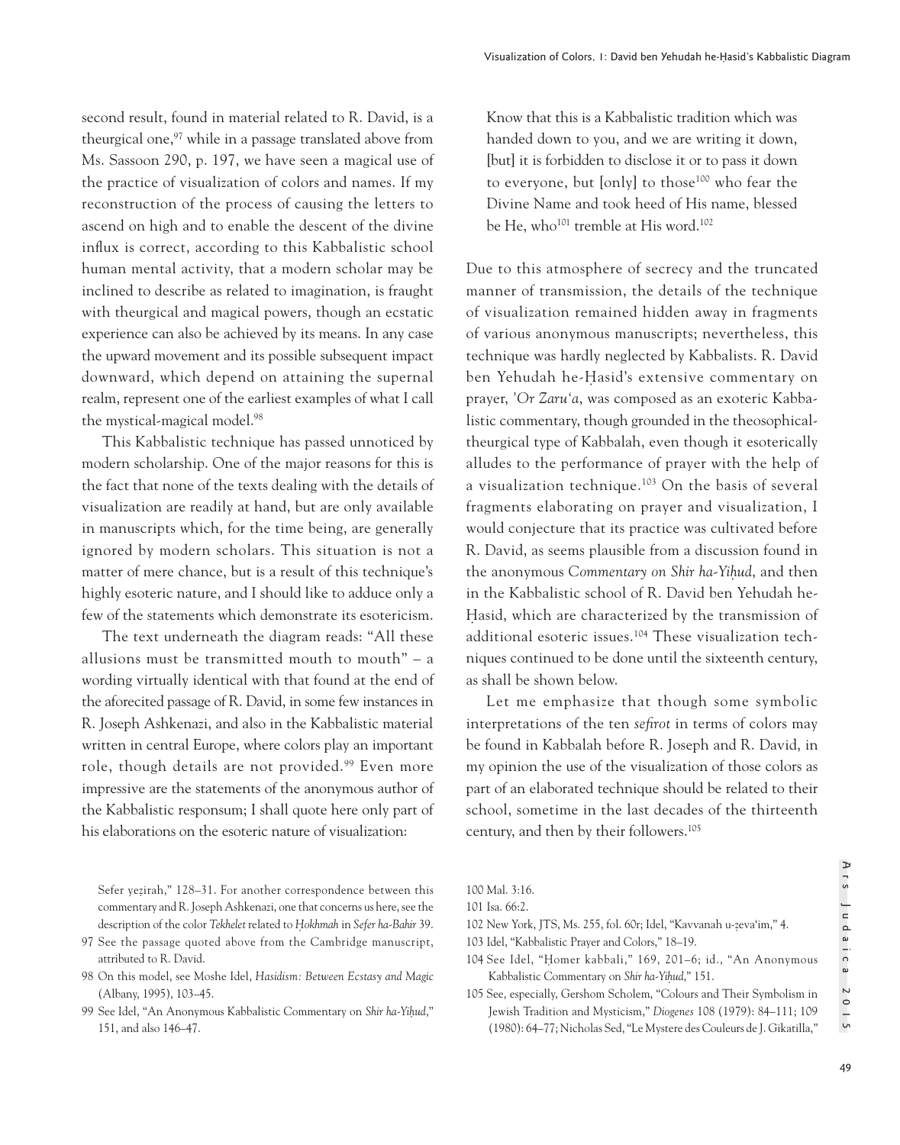second result, found in material related to R. David, is a theurgical one,<sup>97</sup> while in a passage translated above from Ms. Sassoon 290, p. 197, we have seen a magical use of the practice of visualization of colors and names. If my reconstruction of the process of causing the letters to ascend on high and to enable the descent of the divine influx is correct, according to this Kabbalistic school human mental activity, that a modern scholar may be inclined to describe as related to imagination, is fraught with theurgical and magical powers, though an ecstatic experience can also be achieved by its means. In any case the upward movement and its possible subsequent impact downward, which depend on attaining the supernal realm, represent one of the earliest examples of what I call the mystical-magical model.98

This Kabbalistic technique has passed unnoticed by modern scholarship. One of the major reasons for this is the fact that none of the texts dealing with the details of visualization are readily at hand, but are only available in manuscripts which, for the time being, are generally ignored by modern scholars. This situation is not a matter of mere chance, but is a result of this technique's highly esoteric nature, and I should like to adduce only a few of the statements which demonstrate its esotericism.

The text underneath the diagram reads: "All these allusions must be transmitted mouth to mouth" – a wording virtually identical with that found at the end of the aforecited passage of R. David, in some few instances in R. Joseph Ashkenazi, and also in the Kabbalistic material written in central Europe, where colors play an important role, though details are not provided.<sup>99</sup> Even more impressive are the statements of the anonymous author of the Kabbalistic responsum; I shall quote here only part of his elaborations on the esoteric nature of visualization:

Know that this is a Kabbalistic tradition which was handed down to you, and we are writing it down, [but] it is forbidden to disclose it or to pass it down to everyone, but [only] to those100 who fear the Divine Name and took heed of His name, blessed be He, who<sup>101</sup> tremble at His word.<sup>102</sup>

Due to this atmosphere of secrecy and the truncated manner of transmission, the details of the technique of visualization remained hidden away in fragments of various anonymous manuscripts; nevertheless, this technique was hardly neglected by Kabbalists. R. David ben Yehudah he-Hasid's extensive commentary on prayer, *'Or Zaru'a*, was composed as an exoteric Kabbalistic commentary, though grounded in the theosophicaltheurgical type of Kabbalah, even though it esoterically alludes to the performance of prayer with the help of a visualization technique.103 On the basis of several fragments elaborating on prayer and visualization, I would conjecture that its practice was cultivated before R. David, as seems plausible from a discussion found in the anonymous *Commentary on Shir ha-Yih*̣*ud*, and then in the Kabbalistic school of R. David ben Yehudah he-Hasid, which are characterized by the transmission of additional esoteric issues.104 These visualization techniques continued to be done until the sixteenth century, as shall be shown below.

Let me emphasize that though some symbolic interpretations of the ten *sefirot* in terms of colors may be found in Kabbalah before R. Joseph and R. David, in my opinion the use of the visualization of those colors as part of an elaborated technique should be related to their school, sometime in the last decades of the thirteenth century, and then by their followers.105

Sefer yeẓ irah," 128–31. For another correspondence between this commentary and R. Joseph Ashkenazi, one that concerns us here, see the description of the color *Tekhelet* related to *H*̣*okhmah* in *Sefer ha-Bahir* 39.

<sup>97</sup> See the passage quoted above from the Cambridge manuscript, attributed to R. David.

<sup>98</sup> On this model, see Moshe Idel, *Hasidism: Between Ecstasy and Magic* (Albany, 1995), 103–45.

<sup>99</sup> See Idel, "An Anonymous Kabbalistic Commentary on *Shir ha-Yih*̣*ud*," 151, and also 146–47.

<sup>100</sup> Mal. 3:16.

<sup>101</sup> Isa. 66:2.

<sup>102</sup> New York, JTS, Ms. 255, fol. 60r; Idel, "Kavvanah u-zeva'im," 4. ̣

<sup>103</sup> Idel, "Kabbalistic Prayer and Colors," 18–19.

<sup>104</sup> See Idel, "Homer kabbali," 169, 201-6; id., "An Anonymous Kabbalistic Commentary on *Shir ha-Yih*̣*ud*," 151.

<sup>105</sup> See, especially, Gershom Scholem, "Colours and Their Symbolism in Jewish Tradition and Mysticism," *Diogenes* 108 (1979): 84–111; 109 (1980): 64–77; Nicholas Sed, "Le Mystere des Couleurs de J. Gikatilla,"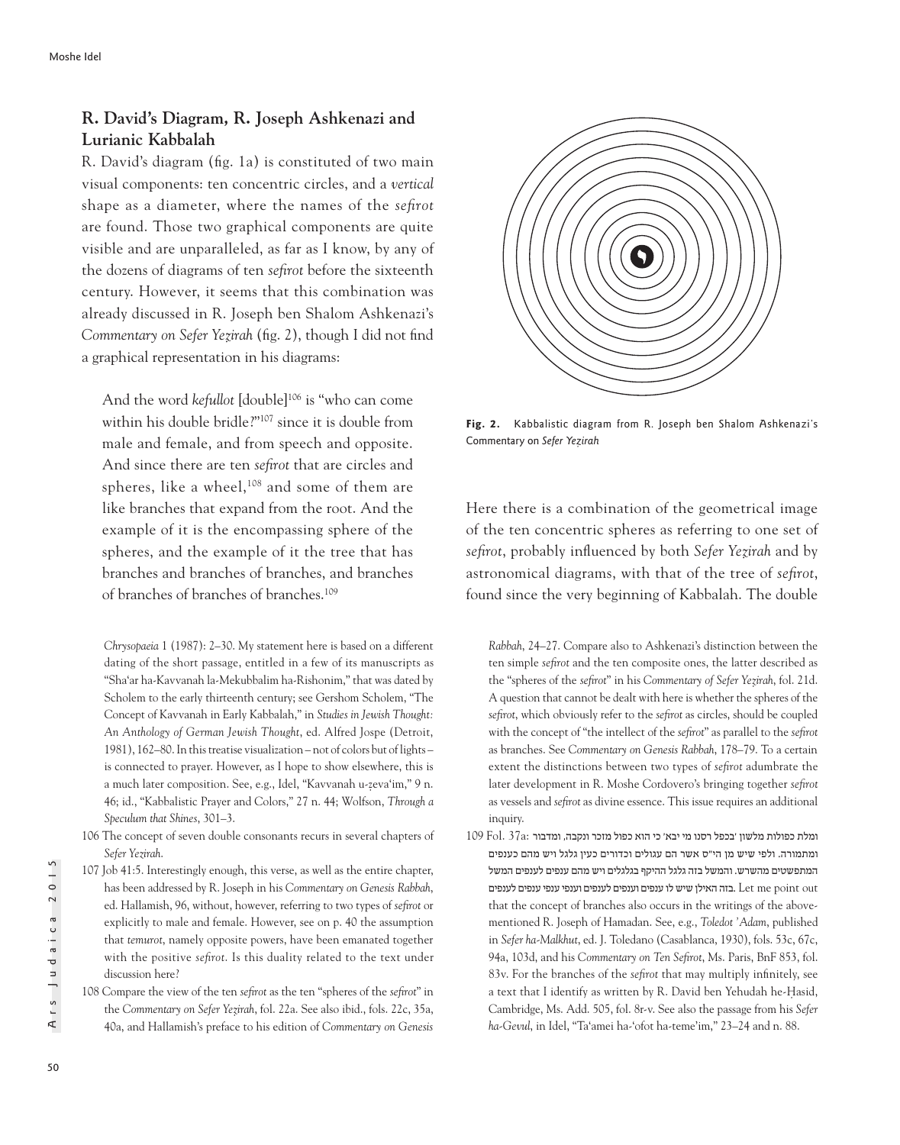# **R. David's Diagram, R. Joseph Ashkenazi and Lurianic Kabbalah**

R. David's diagram (fig. 1a) is constituted of two main visual components: ten concentric circles, and a *vertical* shape as a diameter, where the names of the *sefirot*  are found. Those two graphical components are quite visible and are unparalleled, as far as I know, by any of the dozens of diagrams of ten *sefirot* before the sixteenth century. However, it seems that this combination was already discussed in R. Joseph ben Shalom Ashkenazi's *Commentary on Sefer Yeẓirah* (fig. 2), though I did not find a graphical representation in his diagrams:

And the word *kefullot* [double]<sup>106</sup> is "who can come within his double bridle?"107 since it is double from male and female, and from speech and opposite. And since there are ten *sefirot* that are circles and spheres, like a wheel, $108$  and some of them are like branches that expand from the root. And the example of it is the encompassing sphere of the spheres, and the example of it the tree that has branches and branches of branches, and branches of branches of branches of branches.109

*Chrysopaeia* 1 (1987): 2–30. My statement here is based on a different dating of the short passage, entitled in a few of its manuscripts as "Sha'ar ha-Kavvanah la-Mekubbalim ha-Rishonim," that was dated by Scholem to the early thirteenth century; see Gershom Scholem, "The Concept of Kavvanah in Early Kabbalah," in *Studies in Jewish Thought: An Anthology of German Jewish Thought*, ed. Alfred Jospe (Detroit, 1981), 162–80. In this treatise visualization – not of colors but of lights – is connected to prayer. However, as I hope to show elsewhere, this is a much later composition. See, e.g., Idel, "Kavvanah u-zeva'im," 9 n. 46; id., "Kabbalistic Prayer and Colors," 27 n. 44; Wolfson, *Through a Speculum that Shines*, 301–3.

- 106 The concept of seven double consonants recurs in several chapters of *Sefer Yezirah*.
- 107 Job 41:5. Interestingly enough, this verse, as well as the entire chapter, has been addressed by R. Joseph in his *Commentary on Genesis Rabbah*, ed. Hallamish, 96, without, however, referring to two types of *sefirot* or explicitly to male and female. However, see on p. 40 the assumption that *temurot*, namely opposite powers, have been emanated together with the positive *sefirot*. Is this duality related to the text under discussion here?
- 108 Compare the view of the ten *sefirot* as the ten "spheres of the *sefirot*" in the *Commentary on Sefer Yez*̣*irah*, fol. 22a. See also ibid., fols. 22c, 35a, 40a, and Hallamish's preface to his edition of *Commentary on Genesis*



**Fig. 2.** Kabbalistic diagram from R. Joseph ben Shalom Ashkenazi's Commentary on *Sefer Yeẓ irah*

Here there is a combination of the geometrical image of the ten concentric spheres as referring to one set of *sefirot*, probably influenced by both *Sefer Yeẓirah* and by astronomical diagrams, with that of the tree of *sefirot*, found since the very beginning of Kabbalah. The double

*Rabbah*, 24–27. Compare also to Ashkenazi's distinction between the ten simple *sefirot* and the ten composite ones, the latter described as the "spheres of the *sefirot*" in his *Commentary of Sefer Yez*̣*irah*, fol. 21d. A question that cannot be dealt with here is whether the spheres of the *sefirot*, which obviously refer to the *sefirot* as circles, should be coupled with the concept of "the intellect of the *sefirot*" as parallel to the *sefirot*  as branches. See *Commentary on Genesis Rabbah*, 178–79. To a certain extent the distinctions between two types of *sefirot* adumbrate the later development in R. Moshe Cordovero's bringing together *sefirot* as vessels and *sefirot* as divine essence. This issue requires an additional inquiry.

109 Fol.  $37a$ : ומלת כפולות מלשון 'בכפל רסנו מי יבא' כי הוא כפול מזכר ונקבה, ומדבור ומתמורה. ולפי שיש מן הי"ס אשר הם עגולים וכדורים כעין גלגל ויש מהם כענפים המתפשטים מהשרש. והמשל בזה גלגל ההיקף בגלגלים ויש מהם ענפים לענפים המשל בזה האילן שיש לו ענפים וענפים לענפים וענפי ענפי ענפים לענפים Let me point out that the concept of branches also occurs in the writings of the abovementioned R. Joseph of Hamadan. See, e.g., *Toledot 'Adam*, published in *Sefer ha-Malkhut*, ed. J. Toledano (Casablanca, 1930), fols. 53c, 67c, 94a, 103d, and his *Commentary on Ten Sefirot*, Ms. Paris, BnF 853, fol. 83v. For the branches of the *sefirot* that may multiply infinitely, see a text that I identify as written by R. David ben Yehudah he-Hasid, Cambridge, Ms. Add. 505, fol. 8r-v. See also the passage from his *Sefer ha-Gevul*, in Idel, "Ta'amei ha-'ofot ha-teme'im," 23–24 and n. 88.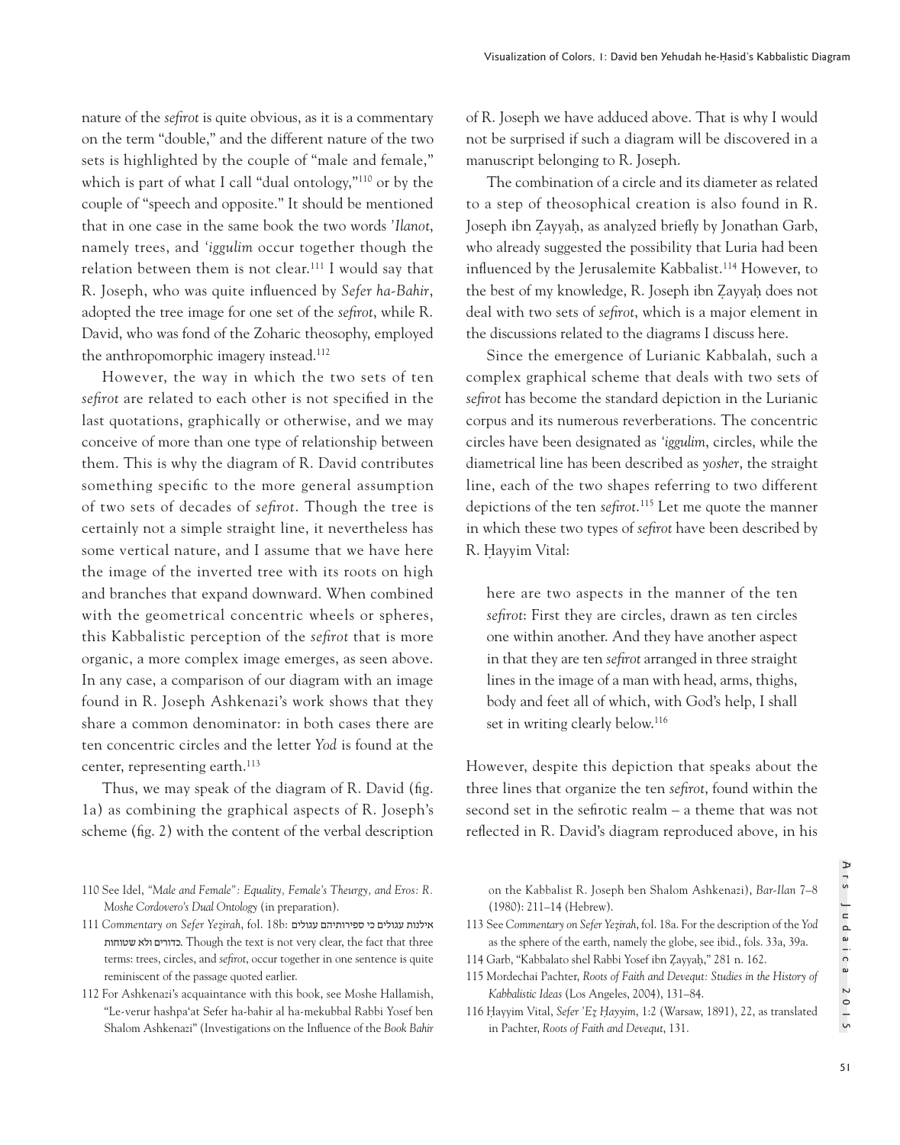nature of the *sefirot* is quite obvious, as it is a commentary on the term "double," and the different nature of the two sets is highlighted by the couple of "male and female," which is part of what I call "dual ontology,"110 or by the couple of "speech and opposite." It should be mentioned that in one case in the same book the two words *'Ilanot*, namely trees, and *'iggulim* occur together though the relation between them is not clear.111 I would say that R. Joseph, who was quite influenced by *Sefer ha-Bahir*, adopted the tree image for one set of the *sefirot*, while R. David, who was fond of the Zoharic theosophy, employed the anthropomorphic imagery instead.<sup>112</sup>

However, the way in which the two sets of ten *sefirot* are related to each other is not specified in the last quotations, graphically or otherwise, and we may conceive of more than one type of relationship between them. This is why the diagram of R. David contributes something specific to the more general assumption of two sets of decades of *sefirot*. Though the tree is certainly not a simple straight line, it nevertheless has some vertical nature, and I assume that we have here the image of the inverted tree with its roots on high and branches that expand downward. When combined with the geometrical concentric wheels or spheres, this Kabbalistic perception of the *sefirot* that is more organic, a more complex image emerges, as seen above. In any case, a comparison of our diagram with an image found in R. Joseph Ashkenazi's work shows that they share a common denominator: in both cases there are ten concentric circles and the letter *Yod* is found at the center, representing earth.<sup>113</sup>

Thus, we may speak of the diagram of R. David (fig. 1a) as combining the graphical aspects of R. Joseph's scheme (fig. 2) with the content of the verbal description of R. Joseph we have adduced above. That is why I would not be surprised if such a diagram will be discovered in a manuscript belonging to R. Joseph.

The combination of a circle and its diameter as related to a step of theosophical creation is also found in R. Joseph ibn Zayyah, as analyzed briefly by Jonathan Garb, who already suggested the possibility that Luria had been influenced by the Jerusalemite Kabbalist.<sup>114</sup> However, to the best of my knowledge, R. Joseph ibn Zayyah does not deal with two sets of *sefirot*, which is a major element in the discussions related to the diagrams I discuss here.

Since the emergence of Lurianic Kabbalah, such a complex graphical scheme that deals with two sets of *sefirot* has become the standard depiction in the Lurianic corpus and its numerous reverberations. The concentric circles have been designated as *'iggulim*, circles, while the diametrical line has been described as *yosher*, the straight line, each of the two shapes referring to two different depictions of the ten *sefirot*. 115 Let me quote the manner in which these two types of *sefirot* have been described by R. Hayyim Vital:

here are two aspects in the manner of the ten *sefirot*: First they are circles, drawn as ten circles one within another. And they have another aspect in that they are ten *sefirot* arranged in three straight lines in the image of a man with head, arms, thighs, body and feet all of which, with God's help, I shall set in writing clearly below.<sup>116</sup>

However, despite this depiction that speaks about the three lines that organize the ten *sefirot*, found within the second set in the sefirotic realm – a theme that was not reflected in R. David's diagram reproduced above, in his

on the Kabbalist R. Joseph ben Shalom Ashkenazi), *Bar-Ilan* 7–8 (1980): 211–14 (Hebrew).

- 113 See *Commentary on Sefer Yez*̣*irah*, fol. 18a. For the description of the *Yod*  as the sphere of the earth, namely the globe, see ibid., fols. 33a, 39a.
- 114 Garb, "Kabbalato shel Rabbi Yosef ibn Zayyaḥ," 281 n. 162.
- 115 Mordechai Pachter, *Roots of Faith and Devequt: Studies in the History of Kabbalistic Ideas* (Los Angeles, 2004), 131–84.
- 116 Ḥayyim Vital, *Sefer 'Ez*̣ *H*̣*ayyim*, 1:2 (Warsaw, 1891), 22, as translated in Pachter, *Roots of Faith and Devequt*, 131.

<sup>110</sup> See Idel, *"Male and Female": Equality, Female's Theurgy, and Eros: R. Moshe Cordovero's Dual Ontology* (in preparation).

<sup>111</sup> *Commentary on Sefer Yez*̣*irah*, fol. 18b: עגולים ספירותיהם כי עגולים אילנות שטוחות ולא כדורים. Though the text is not very clear, the fact that three terms: trees, circles, and *sefirot*, occur together in one sentence is quite reminiscent of the passage quoted earlier.

<sup>112</sup> For Ashkenazi's acquaintance with this book, see Moshe Hallamish, "Le-verur hashpa'at Sefer ha-bahir al ha-mekubbal Rabbi Yosef ben Shalom Ashkenazi" (Investigations on the Influence of the *Book Bahir*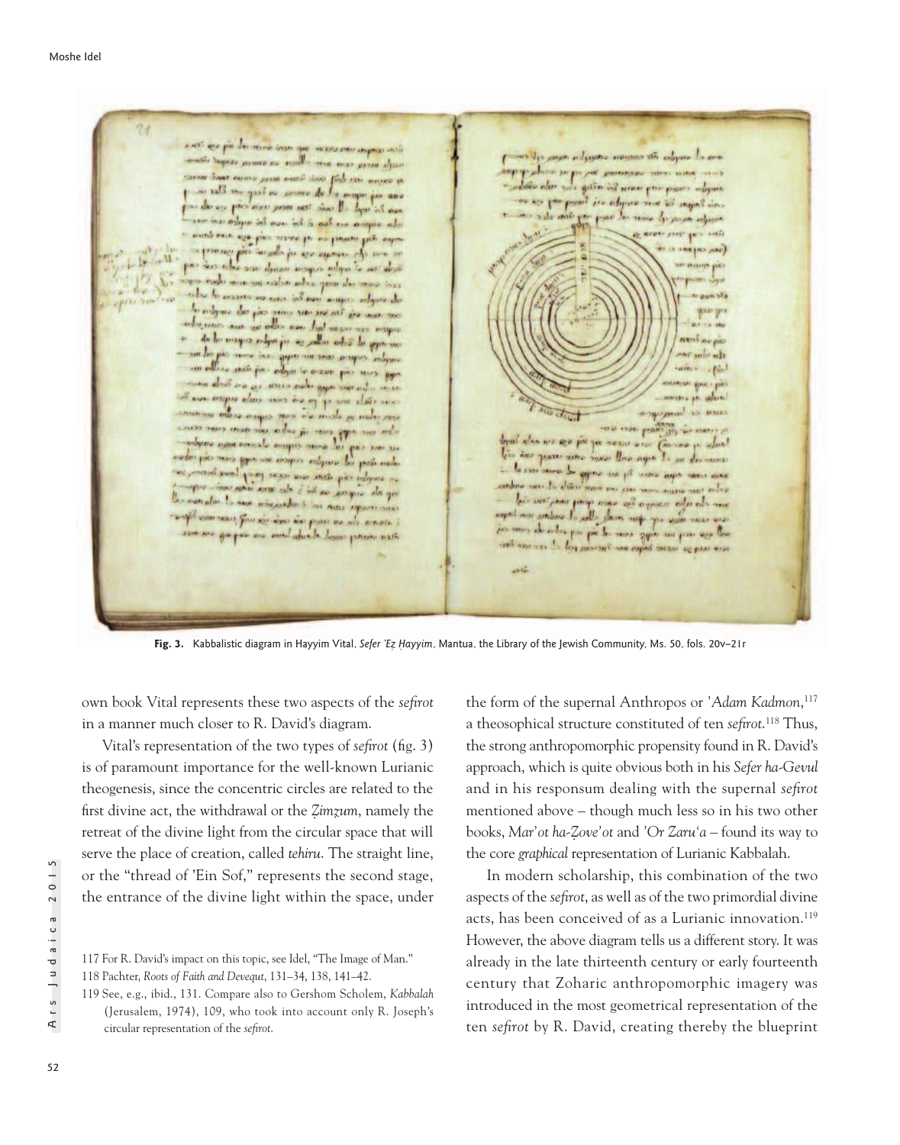a vesti que più des record board que incara ereccionaria inti ana al cuiglos ate comeno sometim mora effecto maybe mere can some alline an summ offen as come an del cost tom any come on is given on some per poper ... cas sig report of the comes as Ecop are Elec is the point is adjust and it supplies. the air pair auxis prim not show the low more de paramentario who argue as too is too in a bis make as and an exact on the control and and to all you as assure the me or non djuan mogus ndgar te antalysi monitous exclusion has gone the same time the laterature or can be as a super adquare also our num cir the see -are -are all any dis dresser are use other are but we are assessed as de la propie che se si apparecia colore  $\mathbf{a}$ anglia cupca ant me agip the man for adjusting other produces por  $\cdots$ about and as above above gaps aware and work as con engage alone come come a passe a se more mayor now the male of melodos **SS MAILS** to a trac peaks -bu can agg cuse in what and cuse case also are are por you need and Come ace max any dia amon'ny tanàna maza amin'ny<br>Antarana amin'ny faritr'i Grand de Lancasca amin' a p. alus! the passe and mean the ages Is an electronic to any store to give me po were approved and of employ cay store was never forg box been an la diteriman no por mon nova nos edis as not in a set it is an assign the you complete to see more should be me approximate une cho abo siste que ses que a do al sue any commerce, from the same time pour on the comment gregar are available to home present ast are use you and begin me turning toll der von law  $1.12$ 

Fig. 3. Kabbalistic diagram in Hayyim Vital, Sefer 'Ez Hayyim, Mantua, the Library of the Jewish Community, Ms. 50, fols. 20v–21r

own book Vital represents these two aspects of the *sefirot*  in a manner much closer to R. David's diagram.

Vital's representation of the two types of *sefirot* (fig. 3) is of paramount importance for the well-known Lurianic theogenesis, since the concentric circles are related to the first divine act, the withdrawal or the *Z*̣*imzuṃ* , namely the retreat of the divine light from the circular space that will serve the place of creation, called *tehiru*. The straight line, or the "thread of 'Ein Sof," represents the second stage, the entrance of the divine light within the space, under

117 For R. David's impact on this topic, see Idel, "The Image of Man." 118 Pachter, *Roots of Faith and Devequt*, 131–34, 138, 141–42.

119 See, e.g., ibid., 131. Compare also to Gershom Scholem, *Kabbalah* (Jerusalem, 1974), 109, who took into account only R. Joseph's circular representation of the *sefirot*.

the form of the supernal Anthropos or *'Adam Kadmon*, 117 a theosophical structure constituted of ten *sefirot*. 118 Thus, the strong anthropomorphic propensity found in R. David's approach, which is quite obvious both in his *Sefer ha-Gevul* and in his responsum dealing with the supernal *sefirot* mentioned above – though much less so in his two other books, *Mar'ot ha-Z*̣*ove'ot* and *'Or Zaru'a* – found its way to the core *graphical* representation of Lurianic Kabbalah.

In modern scholarship, this combination of the two aspects of the *sefirot*, as well as of the two primordial divine acts, has been conceived of as a Lurianic innovation.<sup>119</sup> However, the above diagram tells us a different story. It was already in the late thirteenth century or early fourteenth century that Zoharic anthropomorphic imagery was introduced in the most geometrical representation of the ten *sefirot* by R. David, creating thereby the blueprint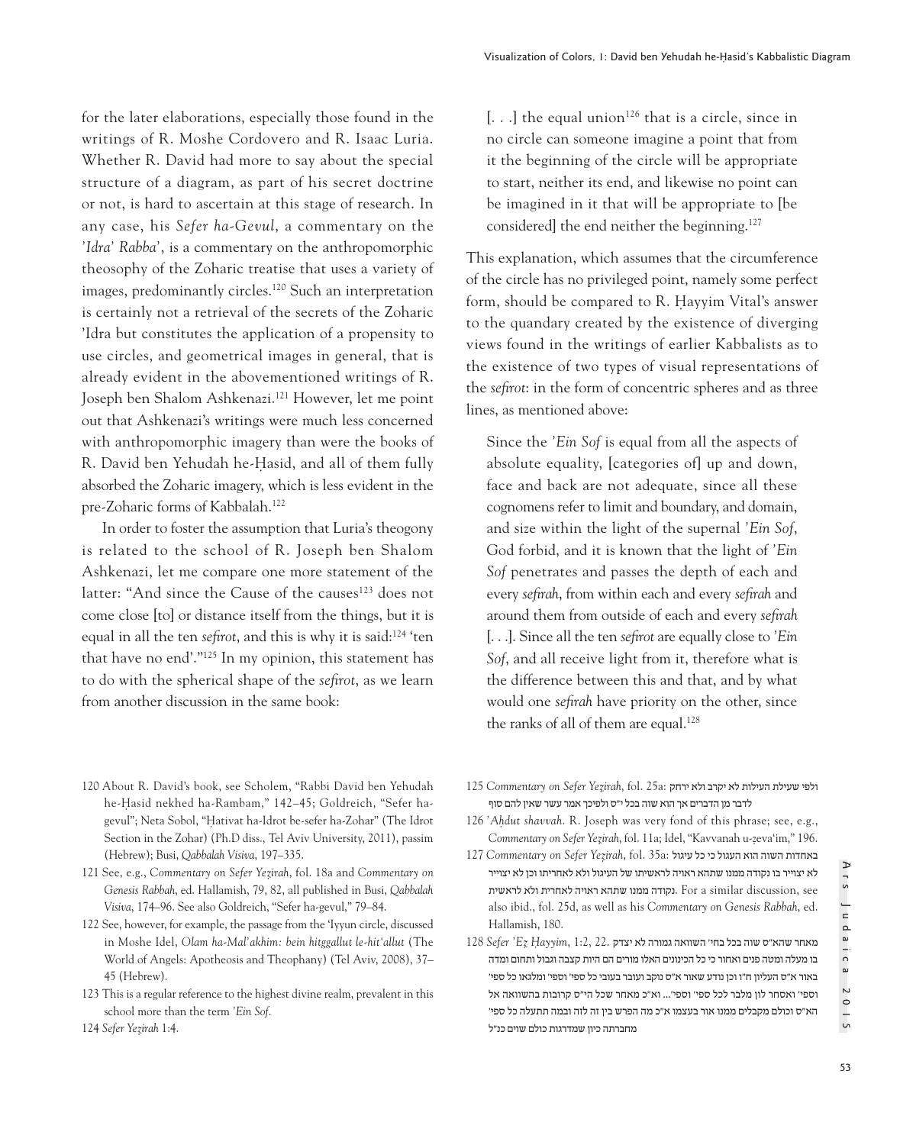for the later elaborations, especially those found in the writings of R. Moshe Cordovero and R. Isaac Luria. Whether R. David had more to say about the special structure of a diagram, as part of his secret doctrine or not, is hard to ascertain at this stage of research. In any case, his *Sefer ha-Gevul*, a commentary on the *'Idra' Rabba'*, is a commentary on the anthropomorphic theosophy of the Zoharic treatise that uses a variety of images, predominantly circles.120 Such an interpretation is certainly not a retrieval of the secrets of the Zoharic 'Idra but constitutes the application of a propensity to use circles, and geometrical images in general, that is already evident in the abovementioned writings of R. Joseph ben Shalom Ashkenazi.121 However, let me point out that Ashkenazi's writings were much less concerned with anthropomorphic imagery than were the books of R. David ben Yehudah he-Hasid, and all of them fully absorbed the Zoharic imagery, which is less evident in the pre-Zoharic forms of Kabbalah.122

In order to foster the assumption that Luria's theogony is related to the school of R. Joseph ben Shalom Ashkenazi, let me compare one more statement of the latter: "And since the Cause of the causes<sup>123</sup> does not come close [to] or distance itself from the things, but it is equal in all the ten *sefirot*, and this is why it is said:124 'ten that have no end'."125 In my opinion, this statement has to do with the spherical shape of the *sefirot*, as we learn from another discussion in the same book:

 $\left[ \ldots \right]$  the equal union<sup>126</sup> that is a circle, since in no circle can someone imagine a point that from it the beginning of the circle will be appropriate to start, neither its end, and likewise no point can be imagined in it that will be appropriate to [be considered] the end neither the beginning.127

This explanation, which assumes that the circumference of the circle has no privileged point, namely some perfect form, should be compared to R. Hayyim Vital's answer to the quandary created by the existence of diverging views found in the writings of earlier Kabbalists as to the existence of two types of visual representations of the *sefirot*: in the form of concentric spheres and as three lines, as mentioned above:

Since the *'Ein Sof* is equal from all the aspects of absolute equality, [categories of] up and down, face and back are not adequate, since all these cognomens refer to limit and boundary, and domain, and size within the light of the supernal *'Ein Sof*, God forbid, and it is known that the light of *'Ein Sof* penetrates and passes the depth of each and every *sefirah*, from within each and every *sefirah* and around them from outside of each and every *sefirah* [. . .]. Since all the ten *sefirot* are equally close to *'Ein Sof*, and all receive light from it, therefore what is the difference between this and that, and by what would one *sefirah* have priority on the other, since the ranks of all of them are equal.<sup>128</sup>

- 120 About R. David's book, see Scholem, "Rabbi David ben Yehudah he-Hasid nekhed ha-Rambam," 142-45; Goldreich, "Sefer hagevul"; Neta Sobol, "Hativat ha-Idrot be-sefer ha-Zohar" (The Idrot Section in the Zohar) (Ph.D diss., Tel Aviv University, 2011), passim (Hebrew); Busi, *Qabbalah Visiva*, 197–335.
- 121 See, e.g., *Commentary on Sefer Yez*̣*irah*, fol. 18a and *Commentary on Genesis Rabbah*, ed. Hallamish, 79, 82, all published in Busi, *Qabbalah Visiva*, 174–96. See also Goldreich, "Sefer ha-gevul," 79–84.
- 122 See, however, for example, the passage from the 'Iyyun circle, discussed in Moshe Idel, *Olam ha-Mal'akhim: bein hitggallut le-hit'allut* (The World of Angels: Apotheosis and Theophany) (Tel Aviv, 2008), 37– 45 (Hebrew).
- 123 This is a regular reference to the highest divine realm, prevalent in this school more than the term *'Ein Sof*.
- ולפי שעילת העילות לא יקרב ולא ירחק :125 Commentary on Sefer Yezirah, fol. 15a לדבר מן הדברים אך הוא שוה בכל י"ס ולפיכך אמר עשר שאין להם סוף
- 126 *'Ah*̣*dut shavvah*. R. Joseph was very fond of this phrase; see, e.g., *Commentary on Sefer Yez*̣*irah*, fol. 11a; Idel, "Kavvanah u-zeva'im," 196. ̣
- באחדות השוה הוא העגול כי כל עיגול :a35 .fol ,*irah*̣*Yez Sefer on Commentary* 127 לא יצוייר בו נקודה ממנו שתהא ראויה לראשיתו של העיגול ולא לאחריתו וכן לא יצוייר see ,discussion similar a For .נקודה ממנו שתהא ראויה לאחרית ולא לראשית also ibid., fol. 25d, as well as his *Commentary on Genesis Rabbah*, ed. Hallamish, 180.
- מאחר שהא"ס שוה בכל בחי' השוואה גמורה לא יצדק 22. 1:2, ,*ayyim*̣*H* ̣*Ez 'Sefer* 128 בו מעלה ומטה פנים ואחור כי כל הכינונים האלו מורים הם היות קצבה וגבול ותחום ומדה באור א"ס העליון ח"ו וכן נודע שאור א"ס נוקב ועובר בעובי כל ספי' וספי' ומלגאו כל ספי' וספי' ואסחר לון מלבר לכל ספי' וספי'... וא"כ מאחר שכל הי"ס קרובות בהשוואה אל הא"ס וכולם מקבלים ממנו אור בעצמו א"כ מה הפרש בין זה לזה ובמה תתעלה כל ספי' מחברתה כיון שמדרגות כולם שוים כנ"ל

<sup>124</sup> *Sefer Yez*̣*irah* 1:4.